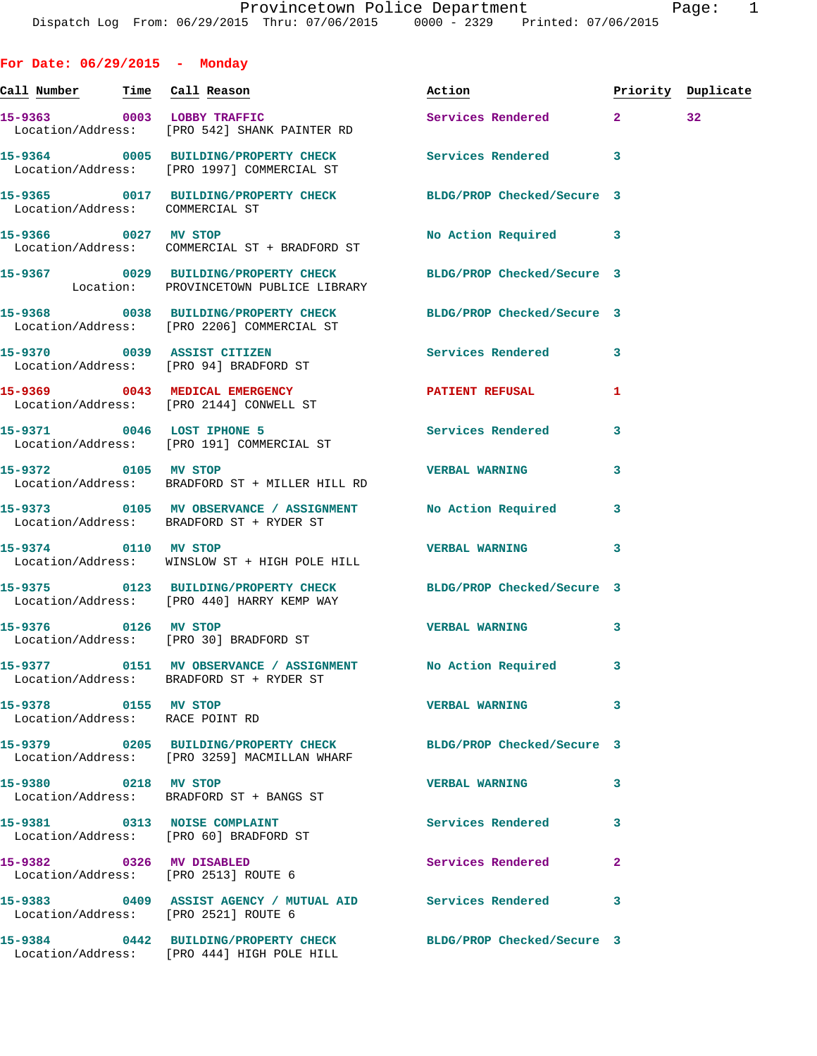**15-9365 0017 BUILDING/PROPERTY CHECK BLDG/PROP Checked/Secure 3**  Location/Address: COMMERCIAL ST

**15-9366 0027 MV STOP No Action Required 3**  Location/Address: COMMERCIAL ST + BRADFORD ST

**15-9367 0029 BUILDING/PROPERTY CHECK BLDG/PROP Checked/Secure 3**  Location: PROVINCETOWN PUBLICE LIBRARY

**15-9368 0038 BUILDING/PROPERTY CHECK BLDG/PROP Checked/Secure 3**  Location/Address: [PRO 2206] COMMERCIAL ST

Location/Address: [PRO 94] BRADFORD ST

Location/Address: [PRO 2144] CONWELL ST

Location/Address: [PRO 191] COMMERCIAL ST

Location/Address: BRADFORD ST + MILLER HILL RD

**15-9373 0105 MV OBSERVANCE / ASSIGNMENT No Action Required 3**  Location/Address: BRADFORD ST + RYDER ST

**15-9374 0110 MV STOP VERBAL WARNING 3**  Location/Address: WINSLOW ST + HIGH POLE HILL

**15-9375 0123 BUILDING/PROPERTY CHECK BLDG/PROP Checked/Secure 3**  Location/Address: [PRO 440] HARRY KEMP WAY

Location/Address: [PRO 30] BRADFORD ST

**15-9377 0151 MV OBSERVANCE / ASSIGNMENT No Action Required 3**  Location/Address: BRADFORD ST + RYDER ST

**15-9378 0155 MV STOP VERBAL WARNING 3**  Location/Address: RACE POINT RD

Location/Address: [PRO 3259] MACMILLAN WHARF

Location/Address: BRADFORD ST + BANGS ST

Location/Address: [PRO 60] BRADFORD ST

**15-9382 0326 MV DISABLED Services Rendered 2** 

**15-9383 0409 ASSIST AGENCY / MUTUAL AID Services Rendered 3** 

Location/Address: [PRO 2513] ROUTE 6

Location/Address: [PRO 2521] ROUTE 6

**15-9384 0442 BUILDING/PROPERTY CHECK BLDG/PROP Checked/Secure 3**  Location/Address: [PRO 444] HIGH POLE HILL

**15-9370 0039 ASSIST CITIZEN Services Rendered 3 15-9369 0043 MEDICAL EMERGENCY PATIENT REFUSAL 1 15-9371 0046 LOST IPHONE 5 Services Rendered 3 15-9372 0105 MV STOP VERBAL WARNING 3** 

**15-9376 0126 MV STOP VERBAL WARNING 3** 

**15-9379 0205 BUILDING/PROPERTY CHECK BLDG/PROP Checked/Secure 3** 

**15-9380 0218 MV STOP VERBAL WARNING 3** 

**15-9381 0313 NOISE COMPLAINT Services Rendered 3**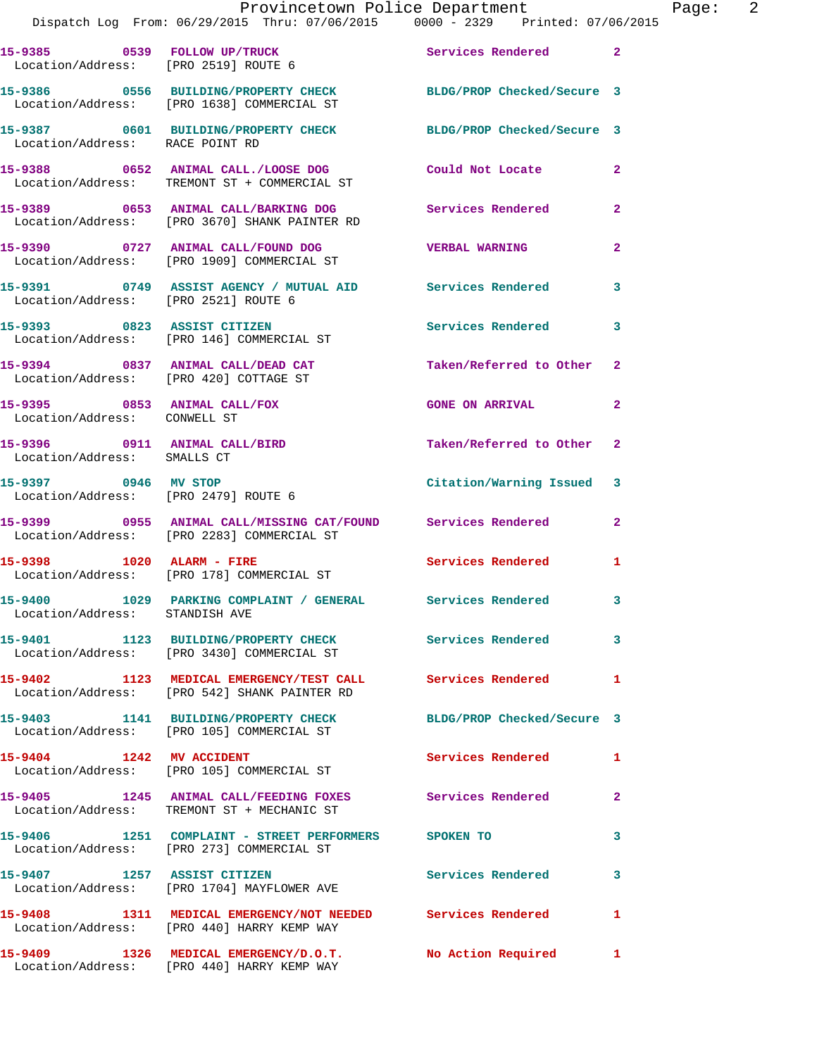|                                                              | Provincetown Police Department<br>Dispatch Log From: 06/29/2015 Thru: 07/06/2015 0000 - 2329 Printed: 07/06/2015     |                            |                |
|--------------------------------------------------------------|----------------------------------------------------------------------------------------------------------------------|----------------------------|----------------|
|                                                              | 15-9385 0539 FOLLOW UP/TRUCK<br>Location/Address: [PRO 2519] ROUTE 6                                                 | Services Rendered          | $\overline{2}$ |
|                                                              | 15-9386 0556 BUILDING/PROPERTY CHECK BLDG/PROP Checked/Secure 3<br>Location/Address: [PRO 1638] COMMERCIAL ST        |                            |                |
| Location/Address: RACE POINT RD                              | 15-9387 0601 BUILDING/PROPERTY CHECK BLDG/PROP Checked/Secure 3                                                      |                            |                |
|                                                              | 15-9388      0652   ANIMAL CALL./LOOSE DOG        Could Not Locate<br>Location/Address:   TREMONT ST + COMMERCIAL ST |                            | $\mathbf{2}$   |
|                                                              | 15-9389 0653 ANIMAL CALL/BARKING DOG<br>Location/Address: [PRO 3670] SHANK PAINTER RD                                | <b>Services Rendered</b>   | 2              |
|                                                              | 15-9390 0727 ANIMAL CALL/FOUND DOG<br>Location/Address: [PRO 1909] COMMERCIAL ST                                     | <b>VERBAL WARNING</b>      | 2              |
| Location/Address: [PRO 2521] ROUTE 6                         |                                                                                                                      |                            | 3              |
|                                                              | 15-9393 0823 ASSIST CITIZEN<br>Location/Address: [PRO 146] COMMERCIAL ST                                             | <b>Services Rendered</b>   | 3              |
|                                                              | 15-9394 0837 ANIMAL CALL/DEAD CAT Taken/Referred to Other<br>Location/Address: [PRO 420] COTTAGE ST                  |                            | $\overline{2}$ |
| 15-9395 0853 ANIMAL CALL/FOX<br>Location/Address: CONWELL ST |                                                                                                                      | <b>GONE ON ARRIVAL</b>     | 2              |
| 15-9396 0911 ANIMAL CALL/BIRD<br>Location/Address: SMALLS CT |                                                                                                                      | Taken/Referred to Other    | $\overline{a}$ |
| 15-9397 0946 MV STOP<br>Location/Address: [PRO 2479] ROUTE 6 |                                                                                                                      | Citation/Warning Issued    | 3              |
|                                                              | 15-9399 0955 ANIMAL CALL/MISSING CAT/FOUND Services Rendered<br>Location/Address: [PRO 2283] COMMERCIAL ST           |                            | $\overline{2}$ |
|                                                              | 15-9398 1020 ALARM - FIRE<br>Location/Address: [PRO 178] COMMERCIAL ST                                               | <b>Services Rendered</b>   | 1              |
| Location/Address: STANDISH AVE                               | 15-9400 1029 PARKING COMPLAINT / GENERAL Services Rendered                                                           |                            | 3              |
|                                                              | 15-9401 1123 BUILDING/PROPERTY CHECK<br>Location/Address: [PRO 3430] COMMERCIAL ST                                   | Services Rendered          | 3              |
|                                                              | 15-9402 1123 MEDICAL EMERGENCY/TEST CALL Services Rendered<br>Location/Address: [PRO 542] SHANK PAINTER RD           |                            | 1              |
|                                                              | 15-9403 1141 BUILDING/PROPERTY CHECK<br>Location/Address: [PRO 105] COMMERCIAL ST                                    | BLDG/PROP Checked/Secure 3 |                |
| 15-9404 1242 MV ACCIDENT                                     | Location/Address: [PRO 105] COMMERCIAL ST                                                                            | Services Rendered          | 1              |
|                                                              | 15-9405 1245 ANIMAL CALL/FEEDING FOXES Services Rendered<br>Location/Address: TREMONT ST + MECHANIC ST               |                            | 2              |
|                                                              | 15-9406 1251 COMPLAINT - STREET PERFORMERS SPOKEN TO<br>Location/Address: [PRO 273] COMMERCIAL ST                    |                            | 3              |
| 15-9407 1257 ASSIST CITIZEN                                  | Location/Address: [PRO 1704] MAYFLOWER AVE                                                                           | <b>Services Rendered</b>   | 3              |

**15-9408 1311 MEDICAL EMERGENCY/NOT NEEDED Services Rendered 1**  Location/Address: [PRO 440] HARRY KEMP WAY

Location/Address: [PRO 440] HARRY KEMP WAY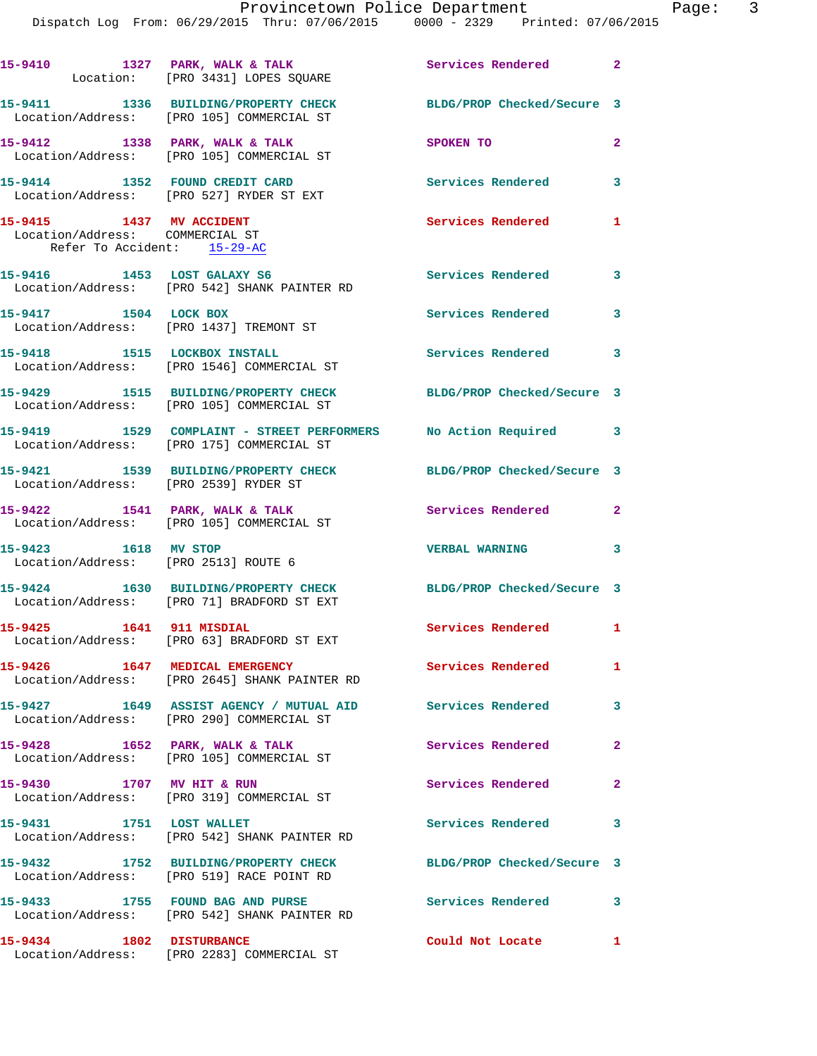|                                                                                            | 15-9410 1327 PARK, WALK & TALK<br>Location: [PRO 3431] LOPES SQUARE                                          | Services Rendered 2        |                         |
|--------------------------------------------------------------------------------------------|--------------------------------------------------------------------------------------------------------------|----------------------------|-------------------------|
|                                                                                            | 15-9411 1336 BUILDING/PROPERTY CHECK<br>Location/Address: [PRO 105] COMMERCIAL ST                            | BLDG/PROP Checked/Secure 3 |                         |
|                                                                                            | 15-9412 1338 PARK, WALK & TALK<br>Location/Address: [PRO 105] COMMERCIAL ST                                  | SPOKEN TO                  | $\mathbf{2}$            |
|                                                                                            | 15-9414 1352 FOUND CREDIT CARD<br>Location/Address: [PRO 527] RYDER ST EXT                                   | <b>Services Rendered</b>   | 3                       |
| 15-9415 1437 MV ACCIDENT<br>Location/Address: COMMERCIAL ST<br>Refer To Accident: 15-29-AC |                                                                                                              | <b>Services Rendered</b>   | $\mathbf{1}$            |
| 15-9416 1453 LOST GALAXY S6                                                                | Location/Address: [PRO 542] SHANK PAINTER RD                                                                 | Services Rendered 3        |                         |
| 15-9417 1504 LOCK BOX                                                                      | Location/Address: [PRO 1437] TREMONT ST                                                                      | Services Rendered          | 3                       |
| 15-9418 1515 LOCKBOX INSTALL                                                               | Location/Address: [PRO 1546] COMMERCIAL ST                                                                   | Services Rendered 3        |                         |
|                                                                                            | 15-9429 1515 BUILDING/PROPERTY CHECK<br>Location/Address: [PRO 105] COMMERCIAL ST                            | BLDG/PROP Checked/Secure 3 |                         |
|                                                                                            | 15-9419 1529 COMPLAINT - STREET PERFORMERS No Action Required 3<br>Location/Address: [PRO 175] COMMERCIAL ST |                            |                         |
| Location/Address: [PRO 2539] RYDER ST                                                      | 15-9421 1539 BUILDING/PROPERTY CHECK                                                                         | BLDG/PROP Checked/Secure 3 |                         |
|                                                                                            | $15-9422$ 1541 PARK, WALK & TALK<br>Location/Address: [PRO 105] COMMERCIAL ST                                | <b>Services Rendered</b>   | $\overline{2}$          |
| 15-9423 1618 MV STOP                                                                       | Location/Address: [PRO 2513] ROUTE 6                                                                         | <b>VERBAL WARNING</b>      | $\overline{\mathbf{3}}$ |
|                                                                                            | 15-9424 1630 BUILDING/PROPERTY CHECK<br>Location/Address: [PRO 71] BRADFORD ST EXT                           | BLDG/PROP Checked/Secure 3 |                         |
| 15-9425 1641 911 MISDIAL                                                                   | Location/Address: [PRO 63] BRADFORD ST EXT                                                                   | Services Rendered 1        |                         |
| 15-9426 1647 MEDICAL EMERGENCY                                                             | Location/Address: [PRO 2645] SHANK PAINTER RD                                                                | Services Rendered 1        |                         |
|                                                                                            | 15-9427 1649 ASSIST AGENCY / MUTUAL AID Services Rendered<br>Location/Address: [PRO 290] COMMERCIAL ST       |                            | 3                       |
|                                                                                            | $15-9428$ 1652 PARK, WALK & TALK<br>Location/Address: [PRO 105] COMMERCIAL ST                                | Services Rendered          | $\mathbf{2}$            |
| 15-9430 1707 MV HIT & RUN                                                                  | Location/Address: [PRO 319] COMMERCIAL ST                                                                    | Services Rendered          | $\mathbf{2}$            |
| 15-9431 1751 LOST WALLET                                                                   | Location/Address: [PRO 542] SHANK PAINTER RD                                                                 | Services Rendered          | 3                       |
|                                                                                            | 15-9432 1752 BUILDING/PROPERTY CHECK<br>Location/Address: [PRO 519] RACE POINT RD                            | BLDG/PROP Checked/Secure 3 |                         |
|                                                                                            | 15-9433 1755 FOUND BAG AND PURSE<br>Location/Address: [PRO 542] SHANK PAINTER RD                             | Services Rendered 3        |                         |
| 15-9434                                                                                    | <b>1802 DISTURBANCE</b>                                                                                      | Could Not Locate           |                         |

Location/Address: [PRO 2283] COMMERCIAL ST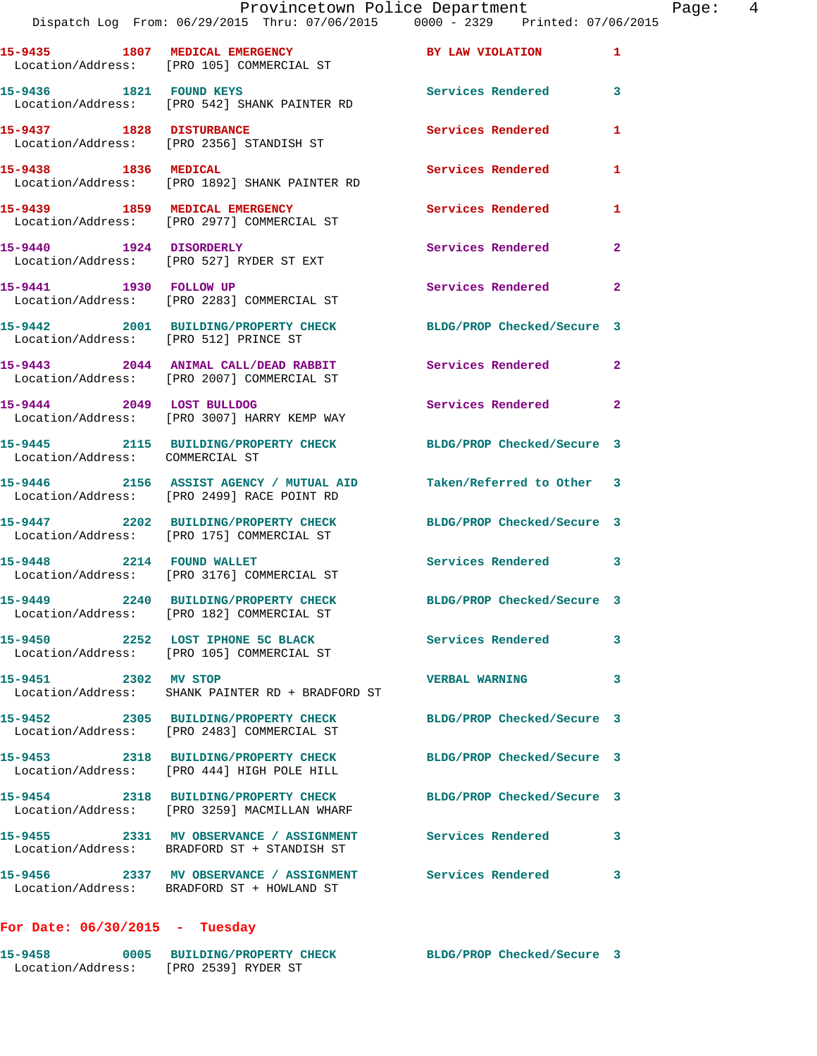|                                       | Provincetown Police Department<br>Dispatch Log From: 06/29/2015 Thru: 07/06/2015 0000 - 2329 Printed: 07/06/2015 |                            |                |
|---------------------------------------|------------------------------------------------------------------------------------------------------------------|----------------------------|----------------|
|                                       | 15-9435 1807 MEDICAL EMERGENCY BY LAW VIOLATION<br>Location/Address: [PRO 105] COMMERCIAL ST                     |                            | 1              |
| 15-9436 1821 FOUND KEYS               | Location/Address: [PRO 542] SHANK PAINTER RD                                                                     | <b>Services Rendered</b>   | 3              |
|                                       | 15-9437 1828 DISTURBANCE<br>Location/Address: [PRO 2356] STANDISH ST                                             | <b>Services Rendered</b>   | 1              |
| 15-9438 1836 MEDICAL                  | Location/Address: [PRO 1892] SHANK PAINTER RD                                                                    | <b>Services Rendered</b>   | 1              |
|                                       | 15-9439 1859 MEDICAL EMERGENCY<br>Location/Address: [PRO 2977] COMMERCIAL ST                                     | <b>Services Rendered</b>   | 1              |
| 15-9440 1924 DISORDERLY               | Location/Address: [PRO 527] RYDER ST EXT                                                                         | <b>Services Rendered</b>   | $\overline{a}$ |
| 15-9441 1930 FOLLOW UP                | Location/Address: [PRO 2283] COMMERCIAL ST                                                                       | Services Rendered          | $\mathbf{2}$   |
| Location/Address: [PRO 512] PRINCE ST | 15-9442 2001 BUILDING/PROPERTY CHECK BLDG/PROP Checked/Secure 3                                                  |                            |                |
|                                       | 15-9443 2044 ANIMAL CALL/DEAD RABBIT<br>Location/Address: [PRO 2007] COMMERCIAL ST                               | <b>Services Rendered</b>   | $\overline{2}$ |
| 15-9444 2049 LOST BULLDOG             | Location/Address: [PRO 3007] HARRY KEMP WAY                                                                      | Services Rendered          | $\mathbf{2}$   |
| Location/Address: COMMERCIAL ST       | 15-9445 2115 BUILDING/PROPERTY CHECK BLDG/PROP Checked/Secure 3                                                  |                            |                |
|                                       | 15-9446 2156 ASSIST AGENCY / MUTUAL AID Taken/Referred to Other 3<br>Location/Address: [PRO 2499] RACE POINT RD  |                            |                |
|                                       | 15-9447 2202 BUILDING/PROPERTY CHECK<br>Location/Address: [PRO 175] COMMERCIAL ST                                | BLDG/PROP Checked/Secure 3 |                |
| 15-9448 2214 FOUND WALLET             | Location/Address: [PRO 3176] COMMERCIAL ST                                                                       | Services Rendered          | 3              |
|                                       | 15-9449 2240 BUILDING/PROPERTY CHECK<br>Location/Address: [PRO 182] COMMERCIAL ST                                | BLDG/PROP Checked/Secure 3 |                |
|                                       | 15-9450 2252 LOST IPHONE 5C BLACK<br>Location/Address: [PRO 105] COMMERCIAL ST                                   | <b>Services Rendered</b>   | 3              |
| 15-9451 2302 MV STOP                  | Location/Address: SHANK PAINTER RD + BRADFORD ST                                                                 | <b>VERBAL WARNING</b>      | 3              |
|                                       | 15-9452 2305 BUILDING/PROPERTY CHECK BLDG/PROP Checked/Secure 3<br>Location/Address: [PRO 2483] COMMERCIAL ST    |                            |                |
|                                       | 15-9453 2318 BUILDING/PROPERTY CHECK<br>Location/Address: [PRO 444] HIGH POLE HILL                               | BLDG/PROP Checked/Secure 3 |                |
|                                       | 15-9454 2318 BUILDING/PROPERTY CHECK<br>Location/Address: [PRO 3259] MACMILLAN WHARF                             | BLDG/PROP Checked/Secure 3 |                |
|                                       | 15-9455 2331 MV OBSERVANCE / ASSIGNMENT<br>Location/Address: BRADFORD ST + STANDISH ST                           | <b>Services Rendered</b>   | 3              |
|                                       | 15-9456 2337 MV OBSERVANCE / ASSIGNMENT<br>Location/Address: BRADFORD ST + HOWLAND ST                            | <b>Services Rendered</b>   | 3              |

## **For Date: 06/30/2015 - Tuesday**

| 15-9458           | 0005 BUILDING/PROPERTY CHECK | BLDG/PROP Checked/Secure 3 |  |
|-------------------|------------------------------|----------------------------|--|
| Location/Address: | [PRO 2539] RYDER ST          |                            |  |

Page: 4<br>15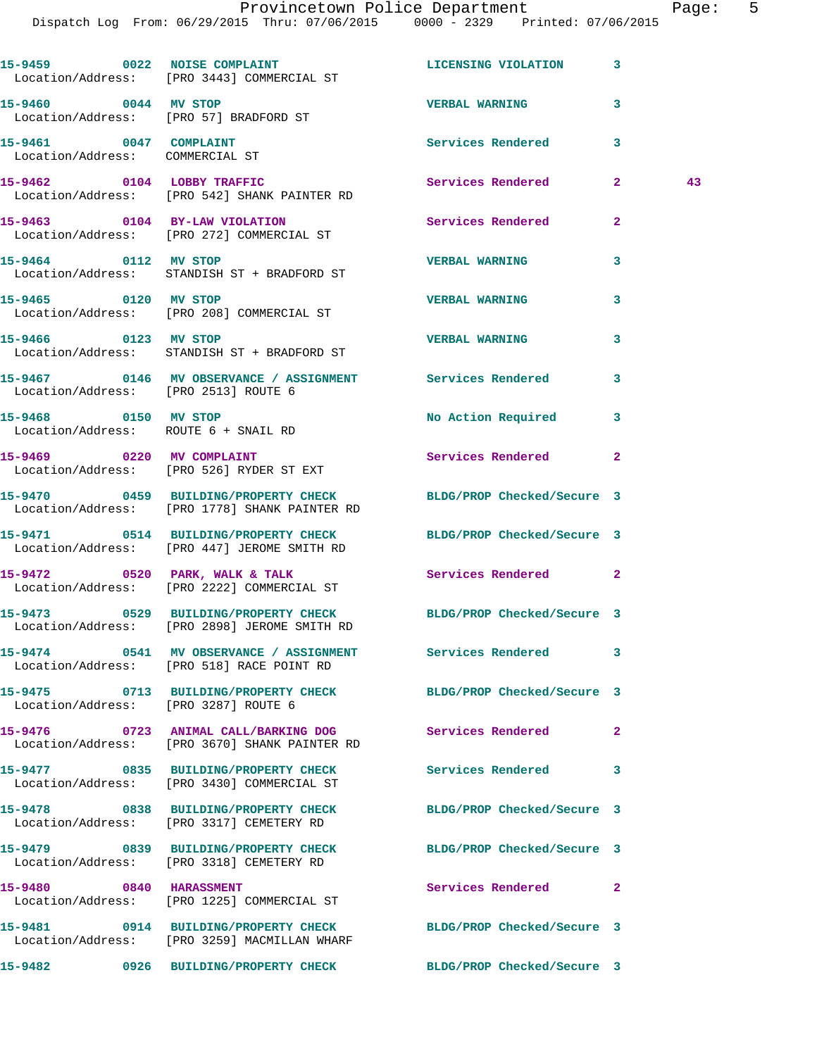Dispatch Log From: 06/29/2015 Thru: 07/06/2015 0000 - 2329 Printed: 07/06/2015

| 15-9459 0022 NOISE COMPLAINT<br>Location/Address: [PRO 3443] COMMERCIAL ST                                       |  | <b>LICENSING VIOLATION</b> | 3              |    |
|------------------------------------------------------------------------------------------------------------------|--|----------------------------|----------------|----|
| 15-9460 0044 MV STOP<br>Location/Address: [PRO 57] BRADFORD ST                                                   |  | <b>VERBAL WARNING</b>      | 3              |    |
| 15-9461 0047 COMPLAINT<br>Location/Address: COMMERCIAL ST                                                        |  | Services Rendered          | 3              |    |
| 15-9462 0104 LOBBY TRAFFIC<br>Location/Address: [PRO 542] SHANK PAINTER RD                                       |  | Services Rendered          | $\mathbf{2}$   | 43 |
| 15-9463 0104 BY-LAW VIOLATION<br>Location/Address: [PRO 272] COMMERCIAL ST                                       |  | <b>Services Rendered</b>   | $\mathbf{2}$   |    |
| 15-9464 0112 MV STOP<br>Location/Address: STANDISH ST + BRADFORD ST                                              |  | <b>VERBAL WARNING</b>      | 3              |    |
| 15-9465 0120 MV STOP<br>Location/Address: [PRO 208] COMMERCIAL ST                                                |  | <b>VERBAL WARNING</b>      | 3              |    |
| 15-9466 0123 MV STOP                                                                                             |  | <b>VERBAL WARNING</b>      | 3              |    |
| Location/Address: STANDISH ST + BRADFORD ST<br>15-9467 0146 MV OBSERVANCE / ASSIGNMENT Services Rendered         |  |                            | 3              |    |
| Location/Address: [PRO 2513] ROUTE 6<br>15-9468 0150 MV STOP                                                     |  | No Action Required 3       |                |    |
| Location/Address: ROUTE 6 + SNAIL RD<br>15-9469 0220 MV COMPLAINT                                                |  | Services Rendered          | $\mathbf{2}$   |    |
| Location/Address: [PRO 526] RYDER ST EXT<br>15-9470 0459 BUILDING/PROPERTY CHECK                                 |  | BLDG/PROP Checked/Secure 3 |                |    |
| Location/Address: [PRO 1778] SHANK PAINTER RD<br>15-9471 0514 BUILDING/PROPERTY CHECK BLDG/PROP Checked/Secure 3 |  |                            |                |    |
| Location/Address: [PRO 447] JEROME SMITH RD<br>$15-9472$ 0520 PARK, WALK & TALK                                  |  | <b>Services Rendered</b>   | $\overline{2}$ |    |
| Location/Address: [PRO 2222] COMMERCIAL ST                                                                       |  |                            |                |    |
| 15-9473 0529 BUILDING/PROPERTY CHECK BLDG/PROP Checked/Secure 3<br>Location/Address: [PRO 2898] JEROME SMITH RD  |  |                            |                |    |
| 15-9474 0541 MV OBSERVANCE / ASSIGNMENT Services Rendered<br>Location/Address: [PRO 518] RACE POINT RD           |  |                            | 3              |    |
| 15-9475 0713 BUILDING/PROPERTY CHECK BLDG/PROP Checked/Secure 3<br>Location/Address: [PRO 3287] ROUTE 6          |  |                            |                |    |
| 15-9476 0723 ANIMAL CALL/BARKING DOG<br>Location/Address: [PRO 3670] SHANK PAINTER RD                            |  | Services Rendered          | $\mathbf{2}$   |    |
| 15-9477 0835 BUILDING/PROPERTY CHECK<br>Location/Address: [PRO 3430] COMMERCIAL ST                               |  | Services Rendered          | 3              |    |
| 15-9478 0838 BUILDING/PROPERTY CHECK<br>Location/Address: [PRO 3317] CEMETERY RD                                 |  | BLDG/PROP Checked/Secure 3 |                |    |
| 15-9479 0839 BUILDING/PROPERTY CHECK<br>Location/Address: [PRO 3318] CEMETERY RD                                 |  | BLDG/PROP Checked/Secure 3 |                |    |
| 15-9480 0840 HARASSMENT<br>Location/Address: [PRO 1225] COMMERCIAL ST                                            |  | Services Rendered          | $\mathbf{2}$   |    |
| 15-9481 0914 BUILDING/PROPERTY CHECK<br>Location/Address: [PRO 3259] MACMILLAN WHARF                             |  | BLDG/PROP Checked/Secure 3 |                |    |
| 15-9482 0926 BUILDING/PROPERTY CHECK                                                                             |  | BLDG/PROP Checked/Secure 3 |                |    |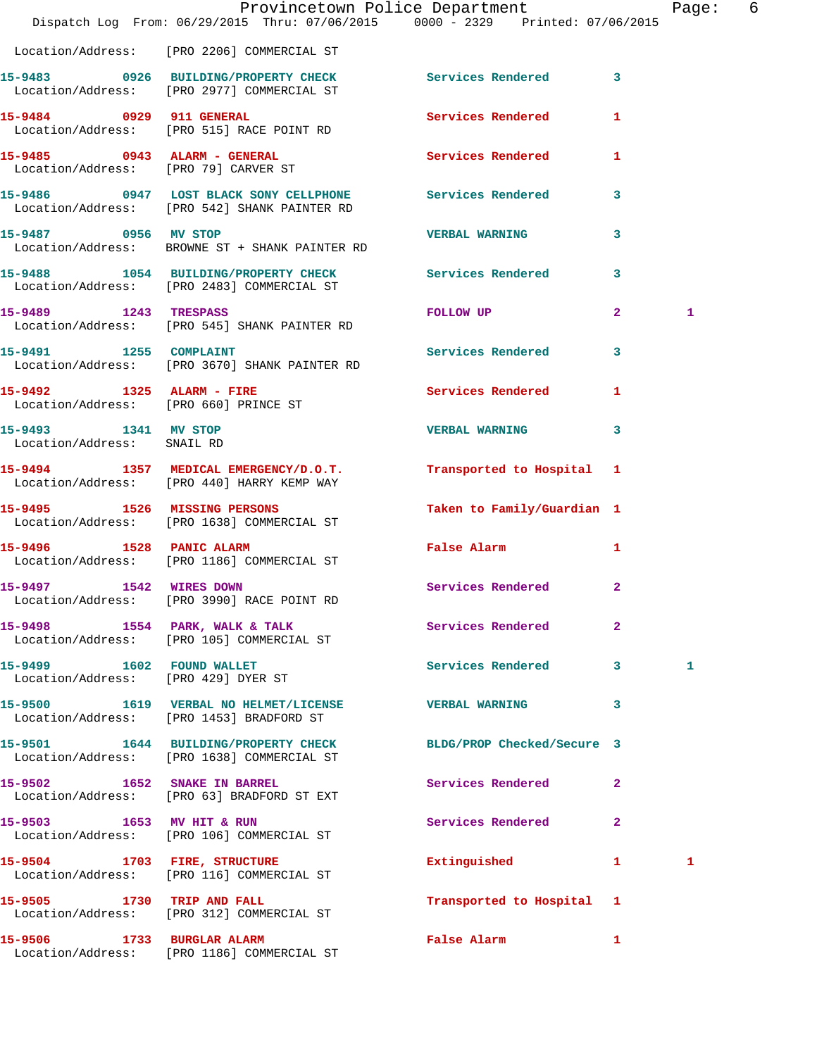|                                                                    | Dispatch Log From: 06/29/2015 Thru: 07/06/2015 0000 - 2329 Printed: 07/06/2015                           | Provincetown Police Department |                         | Page: 6 |  |
|--------------------------------------------------------------------|----------------------------------------------------------------------------------------------------------|--------------------------------|-------------------------|---------|--|
|                                                                    | Location/Address: [PRO 2206] COMMERCIAL ST                                                               |                                |                         |         |  |
|                                                                    | 15-9483 0926 BUILDING/PROPERTY CHECK Services Rendered 3<br>Location/Address: [PRO 2977] COMMERCIAL ST   |                                |                         |         |  |
|                                                                    | 15-9484 0929 911 GENERAL<br>Location/Address: [PRO 515] RACE POINT RD                                    | <b>Services Rendered</b>       | 1                       |         |  |
|                                                                    | 15-9485 0943 ALARM - GENERAL<br>Location/Address: [PRO 79] CARVER ST                                     | Services Rendered 1            |                         |         |  |
|                                                                    | 15-9486 0947 LOST BLACK SONY CELLPHONE Services Rendered<br>Location/Address: [PRO 542] SHANK PAINTER RD |                                | $\mathbf{3}$            |         |  |
| 15-9487 0956 MV STOP                                               | Location/Address: BROWNE ST + SHANK PAINTER RD                                                           | <b>VERBAL WARNING</b>          | $\overline{\mathbf{3}}$ |         |  |
|                                                                    | 15-9488 1054 BUILDING/PROPERTY CHECK Services Rendered<br>Location/Address: [PRO 2483] COMMERCIAL ST     |                                | $\mathbf{3}$            |         |  |
| 15-9489 1243 TRESPASS                                              | Location/Address: [PRO 545] SHANK PAINTER RD                                                             | FOLLOW UP                      | $\mathbf{2}$            | 1       |  |
|                                                                    | 15-9491 1255 COMPLAINT<br>Location/Address: [PRO 3670] SHANK PAINTER RD                                  | Services Rendered              | 3                       |         |  |
| 15-9492 1325 ALARM - FIRE<br>Location/Address: [PRO 660] PRINCE ST |                                                                                                          | Services Rendered              | 1                       |         |  |
| 15-9493 1341 MV STOP<br>Location/Address: SNAIL RD                 |                                                                                                          | <b>VERBAL WARNING</b>          | 3                       |         |  |
|                                                                    | 15-9494 1357 MEDICAL EMERGENCY/D.O.T.<br>Location/Address: [PRO 440] HARRY KEMP WAY                      | Transported to Hospital 1      |                         |         |  |
|                                                                    | 15-9495 1526 MISSING PERSONS<br>Location/Address: [PRO 1638] COMMERCIAL ST                               | Taken to Family/Guardian 1     |                         |         |  |
|                                                                    | 15-9496 1528 PANIC ALARM<br>Location/Address: [PRO 1186] COMMERCIAL ST                                   | False Alarm                    | $\mathbf{1}$            |         |  |
| 15-9497 1542 WIRES DOWN                                            | Location/Address: [PRO 3990] RACE POINT RD                                                               | Services Rendered 2            |                         |         |  |
|                                                                    | 15-9498 1554 PARK, WALK & TALK 1998 Services Rendered<br>Location/Address: [PRO 105] COMMERCIAL ST       |                                | $\mathbf{2}$            |         |  |
| 15-9499 1602 FOUND WALLET<br>Location/Address: [PRO 429] DYER ST   |                                                                                                          | Services Rendered 3            |                         | 1       |  |
|                                                                    | 15-9500 1619 VERBAL NO HELMET/LICENSE<br>Location/Address: [PRO 1453] BRADFORD ST                        | VERBAL WARNING 3               |                         |         |  |
|                                                                    | 15-9501 1644 BUILDING/PROPERTY CHECK<br>Location/Address: [PRO 1638] COMMERCIAL ST                       | BLDG/PROP Checked/Secure 3     |                         |         |  |
|                                                                    | 15-9502 1652 SNAKE IN BARREL<br>Location/Address: [PRO 63] BRADFORD ST EXT                               | Services Rendered              | $\mathbf{2}$            |         |  |
|                                                                    | 15-9503 1653 MV HIT & RUN<br>Location/Address: [PRO 106] COMMERCIAL ST                                   | Services Rendered              | $\mathbf{2}$            |         |  |
|                                                                    | 15-9504 1703 FIRE, STRUCTURE<br>Location/Address: [PRO 116] COMMERCIAL ST                                | Extinguished                   | $\mathbf{1}$            | 1       |  |
|                                                                    | 15-9505 1730 TRIP AND FALL<br>Location/Address: [PRO 312] COMMERCIAL ST                                  | Transported to Hospital 1      |                         |         |  |
|                                                                    | 15-9506 1733 BURGLAR ALARM                                                                               | False Alarm 1                  |                         |         |  |

Location/Address: [PRO 1186] COMMERCIAL ST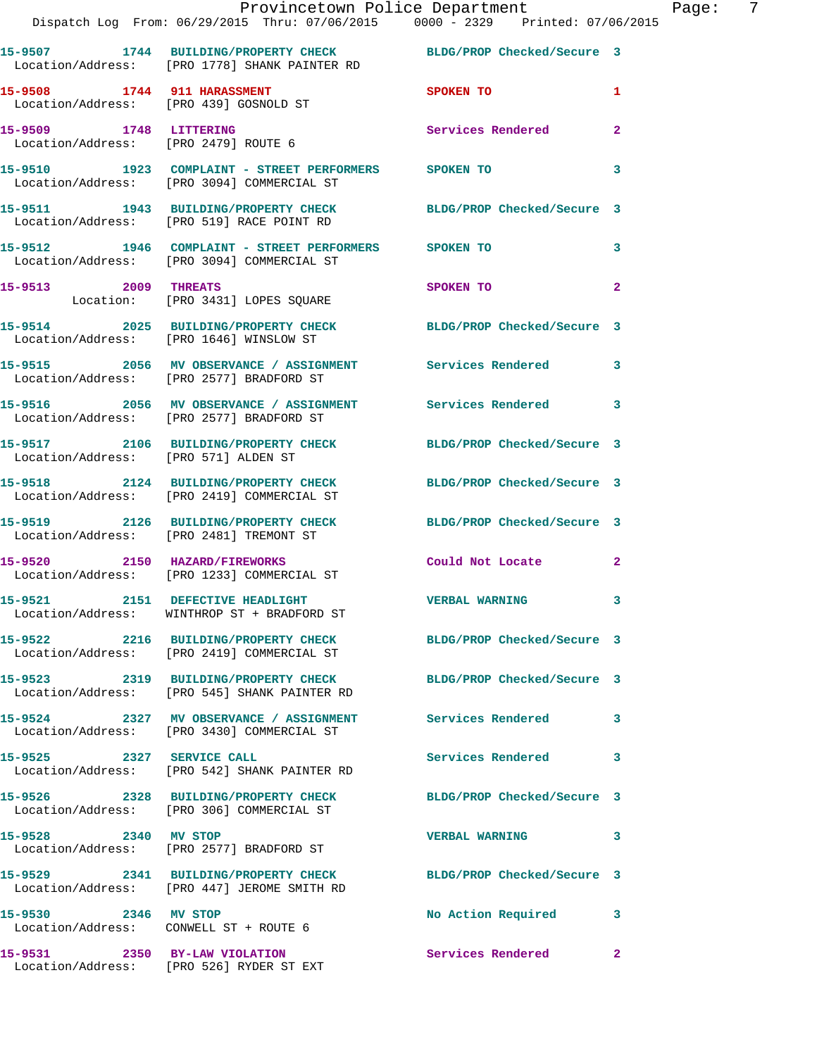|                                                                | Provincetown Police Department Fage: 7<br>Dispatch Log From: 06/29/2015 Thru: 07/06/2015 0000 - 2329 Printed: 07/06/2015 |                            |                |  |
|----------------------------------------------------------------|--------------------------------------------------------------------------------------------------------------------------|----------------------------|----------------|--|
|                                                                | 15-9507 1744 BUILDING/PROPERTY CHECK BLDG/PROP Checked/Secure 3<br>Location/Address: [PRO 1778] SHANK PAINTER RD         |                            |                |  |
|                                                                | 15-9508 1744 911 HARASSMENT SPOKEN TO<br>Location/Address: [PRO 439] GOSNOLD ST                                          |                            | $\mathbf{1}$   |  |
| 15-9509 1748 LITTERING<br>Location/Address: [PRO 2479] ROUTE 6 |                                                                                                                          | Services Rendered          | $\mathbf{2}$   |  |
|                                                                | 15-9510      1923   COMPLAINT - STREET PERFORMERS     SPOKEN TO<br>Location/Address:   [PRO 3094]COMMERCIAL ST           |                            | 3              |  |
|                                                                | 15-9511 1943 BUILDING/PROPERTY CHECK BLDG/PROP Checked/Secure 3<br>Location/Address: [PRO 519] RACE POINT RD             |                            |                |  |
|                                                                | 15-9512 1946 COMPLAINT - STREET PERFORMERS SPOKEN TO<br>Location/Address: [PRO 3094] COMMERCIAL ST                       |                            | 3              |  |
|                                                                | 15-9513 2009 THREATS<br>Location: [PRO 3431] LOPES SQUARE                                                                | SPOKEN TO                  | $\overline{a}$ |  |
|                                                                | 15-9514 2025 BUILDING/PROPERTY CHECK BLDG/PROP Checked/Secure 3<br>Location/Address: [PRO 1646] WINSLOW ST               |                            |                |  |
|                                                                | 15-9515 2056 MV OBSERVANCE / ASSIGNMENT Services Rendered 3<br>Location/Address: [PRO 2577] BRADFORD ST                  |                            |                |  |
|                                                                | 15-9516 		 2056 MV OBSERVANCE / ASSIGNMENT Services Rendered<br>Location/Address: [PRO 2577] BRADFORD ST                 |                            | 3              |  |
| Location/Address: [PRO 571] ALDEN ST                           | 15-9517 2106 BUILDING/PROPERTY CHECK BLDG/PROP Checked/Secure 3                                                          |                            |                |  |
|                                                                | 15-9518 2124 BUILDING/PROPERTY CHECK BLDG/PROP Checked/Secure 3<br>Location/Address: [PRO 2419] COMMERCIAL ST            |                            |                |  |
|                                                                | 15-9519 2126 BUILDING/PROPERTY CHECK BLDG/PROP Checked/Secure 3<br>Location/Address: [PRO 2481] TREMONT ST               |                            |                |  |
|                                                                | 15-9520 2150 HAZARD/FIREWORKS<br>Location/Address: [PRO 1233] COMMERCIAL ST                                              | Could Not Locate 2         |                |  |
|                                                                | 15-9521 2151 DEFECTIVE HEADLIGHT<br>Location/Address: WINTHROP ST + BRADFORD ST                                          | <b>VERBAL WARNING</b>      |                |  |
|                                                                | 15-9522 2216 BUILDING/PROPERTY CHECK BLDG/PROP Checked/Secure 3<br>Location/Address: [PRO 2419] COMMERCIAL ST            |                            |                |  |
|                                                                | 15-9523 2319 BUILDING/PROPERTY CHECK BLDG/PROP Checked/Secure 3<br>Location/Address: [PRO 545] SHANK PAINTER RD          |                            |                |  |
|                                                                | 15-9524 2327 MV OBSERVANCE / ASSIGNMENT Services Rendered<br>Location/Address: [PRO 3430] COMMERCIAL ST                  |                            | 3              |  |
| 15-9525 2327 SERVICE CALL                                      | Location/Address: [PRO 542] SHANK PAINTER RD                                                                             | Services Rendered 3        |                |  |
|                                                                | 15-9526 2328 BUILDING/PROPERTY CHECK<br>Location/Address: [PRO 306] COMMERCIAL ST                                        | BLDG/PROP Checked/Secure 3 |                |  |
| 15-9528 2340 MV STOP                                           | Location/Address: [PRO 2577] BRADFORD ST                                                                                 | <b>VERBAL WARNING</b>      | 3              |  |
|                                                                | 15-9529 2341 BUILDING/PROPERTY CHECK BLDG/PROP Checked/Secure 3<br>Location/Address: [PRO 447] JEROME SMITH RD           |                            |                |  |
| 15-9530 2346 MV STOP                                           | Location/Address: CONWELL ST + ROUTE 6                                                                                   | No Action Required 3       |                |  |
| 15-9531 2350 BY-LAW VIOLATION                                  |                                                                                                                          | Services Rendered          | $\mathbf{2}$   |  |

Location/Address: [PRO 526] RYDER ST EXT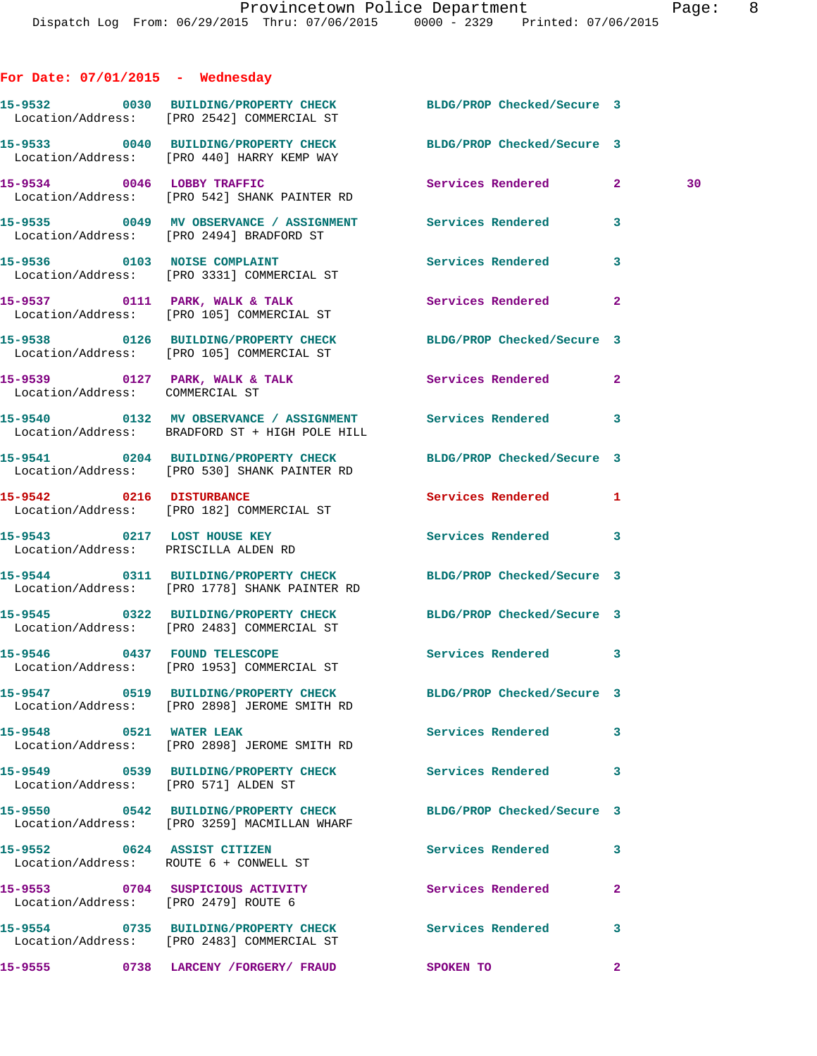| For Date: $07/01/2015$ - Wednesday                                    |                                                                                                                  |                            |              |
|-----------------------------------------------------------------------|------------------------------------------------------------------------------------------------------------------|----------------------------|--------------|
|                                                                       | 15-9532 0030 BUILDING/PROPERTY CHECK BLDG/PROP Checked/Secure 3<br>Location/Address: [PRO 2542] COMMERCIAL ST    |                            |              |
|                                                                       | 15-9533 0040 BUILDING/PROPERTY CHECK BLDG/PROP Checked/Secure 3<br>Location/Address: [PRO 440] HARRY KEMP WAY    |                            |              |
|                                                                       | 15-9534 0046 LOBBY TRAFFIC<br>Location/Address: [PRO 542] SHANK PAINTER RD                                       | Services Rendered 2        | 30           |
|                                                                       | 15-9535 0049 MV OBSERVANCE / ASSIGNMENT Services Rendered<br>Location/Address: [PRO 2494] BRADFORD ST            |                            | 3            |
|                                                                       | 15-9536 0103 NOISE COMPLAINT<br>Location/Address: [PRO 3331] COMMERCIAL ST                                       | Services Rendered 3        |              |
|                                                                       | Location/Address: [PRO 105] COMMERCIAL ST                                                                        |                            | $\mathbf{2}$ |
|                                                                       | 15-9538 0126 BUILDING/PROPERTY CHECK BLDG/PROP Checked/Secure 3<br>Location/Address: [PRO 105] COMMERCIAL ST     |                            |              |
| Location/Address: COMMERCIAL ST                                       | 15-9539 0127 PARK, WALK & TALK 3 Services Rendered                                                               |                            | $\mathbf{2}$ |
|                                                                       | 15-9540 0132 MV OBSERVANCE / ASSIGNMENT Services Rendered 3<br>Location/Address: BRADFORD ST + HIGH POLE HILL    |                            |              |
|                                                                       | 15-9541 0204 BUILDING/PROPERTY CHECK BLDG/PROP Checked/Secure 3<br>Location/Address: [PRO 530] SHANK PAINTER RD  |                            |              |
| 15-9542 0216 DISTURBANCE                                              | Location/Address: [PRO 182] COMMERCIAL ST                                                                        | Services Rendered 1        |              |
| 15-9543 0217 LOST HOUSE KEY<br>Location/Address: PRISCILLA ALDEN RD   |                                                                                                                  | Services Rendered 3        |              |
|                                                                       | 15-9544 0311 BUILDING/PROPERTY CHECK BLDG/PROP Checked/Secure 3<br>Location/Address: [PRO 1778] SHANK PAINTER RD |                            |              |
|                                                                       | 15-9545 0322 BUILDING/PROPERTY CHECK BLDG/PROP Checked/Secure 3<br>Location/Address: [PRO 2483] COMMERCIAL ST    |                            |              |
|                                                                       | 15-9546 0437 FOUND TELESCOPE<br>Location/Address: [PRO 1953] COMMERCIAL ST                                       | Services Rendered 3        |              |
|                                                                       | 15-9547 0519 BUILDING/PROPERTY CHECK<br>Location/Address: [PRO 2898] JEROME SMITH RD                             | BLDG/PROP Checked/Secure 3 |              |
| 15-9548 0521 WATER LEAK                                               | Location/Address: [PRO 2898] JEROME SMITH RD                                                                     | Services Rendered          | 3            |
| Location/Address: [PRO 571] ALDEN ST                                  | 15-9549 0539 BUILDING/PROPERTY CHECK Services Rendered                                                           |                            | 3            |
|                                                                       | 15-9550 0542 BUILDING/PROPERTY CHECK<br>Location/Address: [PRO 3259] MACMILLAN WHARF                             | BLDG/PROP Checked/Secure 3 |              |
| 15-9552 0624 ASSIST CITIZEN<br>Location/Address: ROUTE 6 + CONWELL ST |                                                                                                                  | Services Rendered          | 3            |
| Location/Address: [PRO 2479] ROUTE 6                                  | 15-9553 0704 SUSPICIOUS ACTIVITY                                                                                 | Services Rendered          | $\mathbf{2}$ |
|                                                                       | 15-9554 0735 BUILDING/PROPERTY CHECK<br>Location/Address: [PRO 2483] COMMERCIAL ST                               | Services Rendered          | 3            |
| 15-9555                                                               | 0738 LARCENY /FORGERY/ FRAUD                                                                                     | SPOKEN TO                  | $\mathbf{2}$ |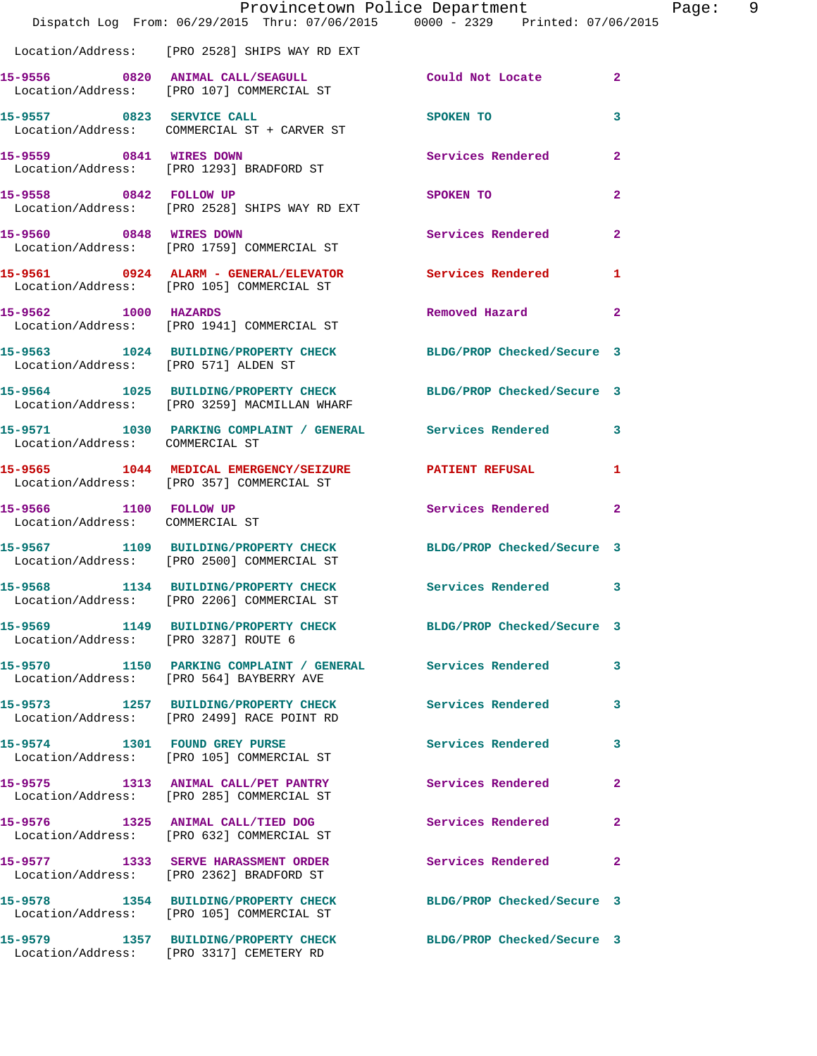|                                                           | Dispatch Log From: 06/29/2015 Thru: 07/06/2015 0000 - 2329 Printed: 07/06/2015                                  | Provincetown Police Department | Page:          | - 9 |
|-----------------------------------------------------------|-----------------------------------------------------------------------------------------------------------------|--------------------------------|----------------|-----|
|                                                           | Location/Address: [PRO 2528] SHIPS WAY RD EXT                                                                   |                                |                |     |
|                                                           | 15-9556 0820 ANIMAL CALL/SEAGULL<br>Location/Address: [PRO 107] COMMERCIAL ST                                   | Could Not Locate               | $\mathbf{2}$   |     |
|                                                           | 15-9557 0823 SERVICE CALL<br>Location/Address: COMMERCIAL ST + CARVER ST                                        | <b>SPOKEN TO</b>               | 3              |     |
|                                                           | 15-9559 0841 WIRES DOWN<br>Location/Address: [PRO 1293] BRADFORD ST                                             | Services Rendered 2            |                |     |
| 15-9558 0842 FOLLOW UP                                    | Location/Address: [PRO 2528] SHIPS WAY RD EXT                                                                   | SPOKEN TO                      | $\mathbf{2}$   |     |
| 15-9560 0848 WIRES DOWN                                   | Location/Address: [PRO 1759] COMMERCIAL ST                                                                      | Services Rendered 2            |                |     |
|                                                           | 15-9561 0924 ALARM - GENERAL/ELEVATOR Services Rendered<br>Location/Address: [PRO 105] COMMERCIAL ST            |                                | 1              |     |
| 15-9562 1000 HAZARDS                                      | Location/Address: [PRO 1941] COMMERCIAL ST                                                                      | Removed Hazard                 | $\mathbf{2}$   |     |
| Location/Address: [PRO 571] ALDEN ST                      | 15-9563 1024 BUILDING/PROPERTY CHECK BLDG/PROP Checked/Secure 3                                                 |                                |                |     |
|                                                           | 15-9564 1025 BUILDING/PROPERTY CHECK BLDG/PROP Checked/Secure 3<br>Location/Address: [PRO 3259] MACMILLAN WHARF |                                |                |     |
|                                                           | 15-9571 1030 PARKING COMPLAINT / GENERAL Services Rendered 3<br>Location/Address: COMMERCIAL ST                 |                                |                |     |
|                                                           | 15-9565 1044 MEDICAL EMERGENCY/SEIZURE PATIENT REFUSAL<br>Location/Address: [PRO 357] COMMERCIAL ST             |                                | 1              |     |
| 15-9566 1100 FOLLOW UP<br>Location/Address: COMMERCIAL ST |                                                                                                                 | Services Rendered              | $\overline{2}$ |     |
|                                                           | 15-9567 1109 BUILDING/PROPERTY CHECK<br>Location/Address: [PRO 2500] COMMERCIAL ST                              | BLDG/PROP Checked/Secure 3     |                |     |
|                                                           | 15-9568 1134 BUILDING/PROPERTY CHECK Services Rendered 3<br>Location/Address: [PRO 2206] COMMERCIAL ST          |                                |                |     |
| Location/Address: [PRO 3287] ROUTE 6                      | 15-9569 1149 BUILDING/PROPERTY CHECK BLDG/PROP Checked/Secure 3                                                 |                                |                |     |
|                                                           | 15-9570 1150 PARKING COMPLAINT / GENERAL Services Rendered<br>Location/Address: [PRO 564] BAYBERRY AVE          |                                | 3              |     |
|                                                           | 15-9573 1257 BUILDING/PROPERTY CHECK Services Rendered<br>Location/Address: [PRO 2499] RACE POINT RD            |                                | $\mathbf{3}$   |     |
|                                                           | 15-9574 1301 FOUND GREY PURSE<br>Location/Address: [PRO 105] COMMERCIAL ST                                      | <b>Services Rendered</b>       | 3              |     |
|                                                           | 15-9575 1313 ANIMAL CALL/PET PANTRY<br>Location/Address: [PRO 285] COMMERCIAL ST                                | Services Rendered              | $\mathbf{2}$   |     |
|                                                           | 15-9576 1325 ANIMAL CALL/TIED DOG<br>Location/Address: [PRO 632] COMMERCIAL ST                                  | Services Rendered              | $\mathbf{2}$   |     |
|                                                           | 15-9577 1333 SERVE HARASSMENT ORDER<br>Location/Address: [PRO 2362] BRADFORD ST                                 | Services Rendered              | $\mathbf{2}$   |     |
|                                                           | 15-9578 1354 BUILDING/PROPERTY CHECK<br>Location/Address: [PRO 105] COMMERCIAL ST                               | BLDG/PROP Checked/Secure 3     |                |     |
|                                                           | 15-9579 1357 BUILDING/PROPERTY CHECK<br>Location/Address: [PRO 3317] CEMETERY RD                                | BLDG/PROP Checked/Secure 3     |                |     |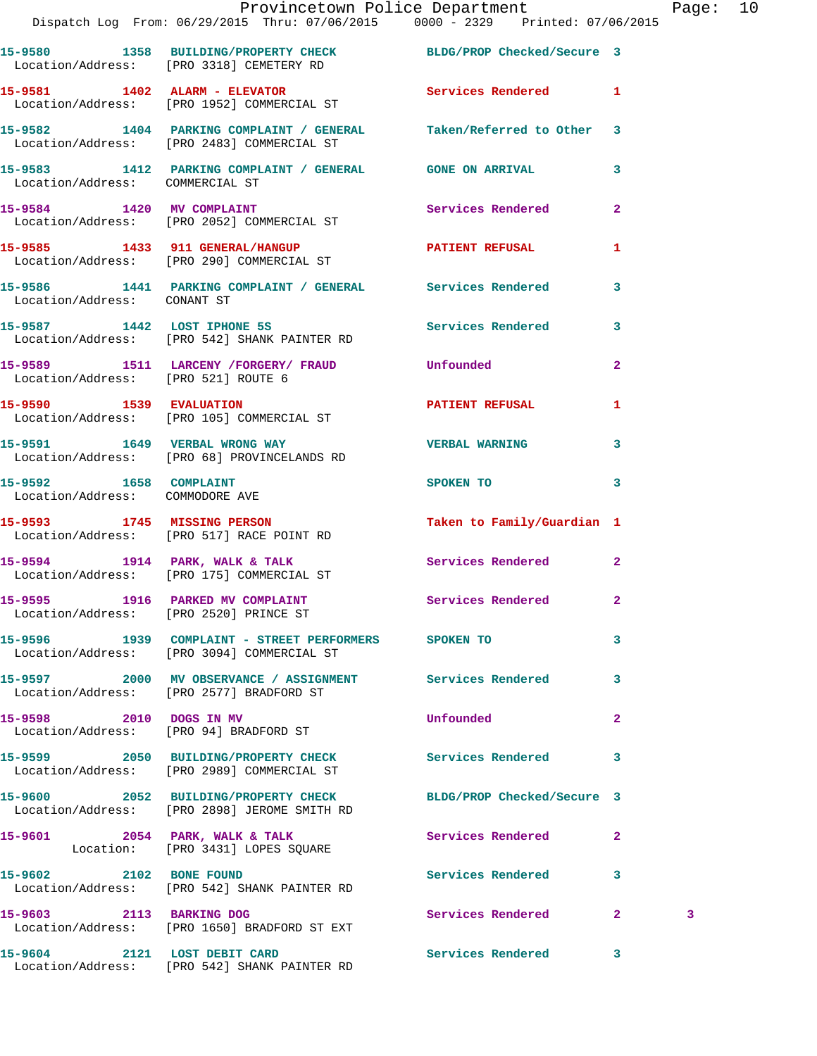|                                                           | Provincetown Police Department<br>Dispatch Log From: 06/29/2015 Thru: 07/06/2015   0000 - 2329   Printed: 07/06/2015 |                            |              | Page: 10 |  |
|-----------------------------------------------------------|----------------------------------------------------------------------------------------------------------------------|----------------------------|--------------|----------|--|
|                                                           | 15-9580 1358 BUILDING/PROPERTY CHECK BLDG/PROP Checked/Secure 3<br>Location/Address: [PRO 3318] CEMETERY RD          |                            |              |          |  |
|                                                           | 15-9581 1402 ALARM - ELEVATOR<br>Location/Address: [PRO 1952] COMMERCIAL ST                                          | Services Rendered 1        |              |          |  |
|                                                           | 15-9582 1404 PARKING COMPLAINT / GENERAL Taken/Referred to Other 3<br>Location/Address: [PRO 2483] COMMERCIAL ST     |                            |              |          |  |
| Location/Address: COMMERCIAL ST                           | 15-9583 1412 PARKING COMPLAINT / GENERAL GONE ON ARRIVAL 3                                                           |                            |              |          |  |
|                                                           | 15-9584 1420 MV COMPLAINT Services Rendered 2<br>Location/Address: [PRO 2052] COMMERCIAL ST                          |                            |              |          |  |
|                                                           | 15-9585 1433 911 GENERAL/HANGUP 1 PATIENT REFUSAL 1<br>Location/Address: [PRO 290] COMMERCIAL ST                     |                            |              |          |  |
| Location/Address: CONANT ST                               | 15-9586 1441 PARKING COMPLAINT / GENERAL Services Rendered 3                                                         |                            |              |          |  |
|                                                           | 15-9587 1442 LOST IPHONE 5S Services Rendered 3<br>Location/Address: [PRO 542] SHANK PAINTER RD                      |                            |              |          |  |
|                                                           |                                                                                                                      |                            | $\mathbf{2}$ |          |  |
|                                                           | 15-9590 1539 EVALUATION<br>Location/Address: [PRO 105] COMMERCIAL ST                                                 | PATIENT REFUSAL            | 1            |          |  |
|                                                           |                                                                                                                      | <b>VERBAL WARNING</b>      | $\mathbf{3}$ |          |  |
| 15-9592 1658 COMPLAINT<br>Location/Address: COMMODORE AVE |                                                                                                                      | SPOKEN TO                  | $\mathbf{3}$ |          |  |
|                                                           | 15-9593 1745 MISSING PERSON<br>Location/Address: [PRO 517] RACE POINT RD                                             | Taken to Family/Guardian 1 |              |          |  |
|                                                           | 15-9594 1914 PARK, WALK & TALK 1998 Services Rendered 2<br>Location/Address: [PRO 175] COMMERCIAL ST                 |                            |              |          |  |
| Location/Address: [PRO 2520] PRINCE ST                    | 15-9595 1916 PARKED MV COMPLAINT                                                                                     | Services Rendered          | $\sim$ 2     |          |  |
|                                                           | 15-9596 1939 COMPLAINT - STREET PERFORMERS SPOKEN TO<br>Location/Address: [PRO 3094] COMMERCIAL ST                   |                            | $\mathbf{3}$ |          |  |
|                                                           | 15-9597 2000 MV OBSERVANCE / ASSIGNMENT Services Rendered 3<br>Location/Address: [PRO 2577] BRADFORD ST              |                            |              |          |  |
| 15-9598 2010 DOGS IN MV                                   | Location/Address: [PRO 94] BRADFORD ST                                                                               | <b>Unfounded</b>           | $\mathbf{2}$ |          |  |
|                                                           | 15-9599   2050   BUILDING/PROPERTY CHECK   Services Rendered   3<br>Location/Address: [PRO 2989] COMMERCIAL ST       |                            |              |          |  |
|                                                           | 15-9600 2052 BUILDING/PROPERTY CHECK BLDG/PROP Checked/Secure 3<br>Location/Address: [PRO 2898] JEROME SMITH RD      |                            |              |          |  |
|                                                           | 15-9601 2054 PARK, WALK & TALK<br>Location: [PRO 3431] LOPES SQUARE                                                  | Services Rendered          | $\mathbf{2}$ |          |  |
| 15-9602 2102 BONE FOUND                                   | Location/Address: [PRO 542] SHANK PAINTER RD                                                                         | Services Rendered 3        |              |          |  |
|                                                           | 15-9603 2113 BARKING DOG<br>Location/Address: [PRO 1650] BRADFORD ST EXT                                             | Services Rendered 2        |              | 3        |  |
| 15-9604 2121 LOST DEBIT CARD                              |                                                                                                                      | Services Rendered 3        |              |          |  |

Location/Address: [PRO 542] SHANK PAINTER RD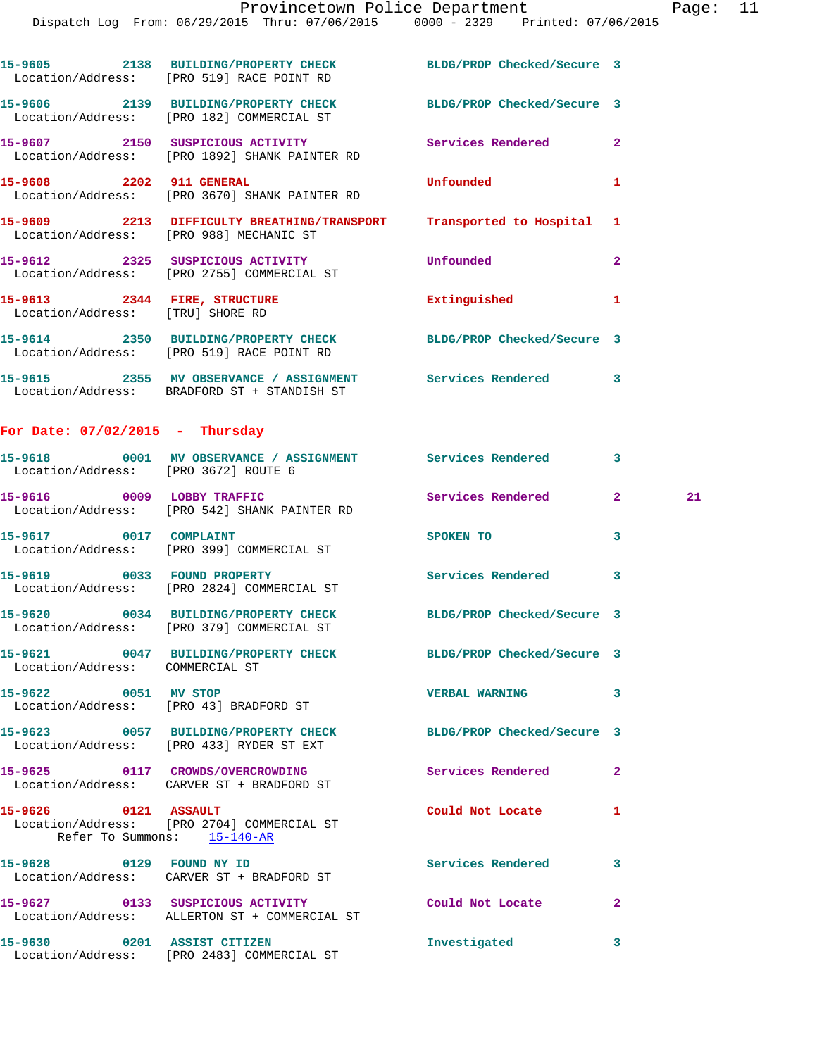|                                   | 15-9605 2138 BUILDING/PROPERTY CHECK BLDG/PROP Checked/Secure 3<br>Location/Address: [PRO 519] RACE POINT RD     |                            |              |    |
|-----------------------------------|------------------------------------------------------------------------------------------------------------------|----------------------------|--------------|----|
|                                   | 15-9606 2139 BUILDING/PROPERTY CHECK BLDG/PROP Checked/Secure 3<br>Location/Address: [PRO 182] COMMERCIAL ST     |                            |              |    |
|                                   | 15-9607 2150 SUSPICIOUS ACTIVITY Services Rendered 2<br>Location/Address: [PRO 1892] SHANK PAINTER RD            |                            |              |    |
|                                   | 15-9608 2202 911 GENERAL<br>Location/Address: [PRO 3670] SHANK PAINTER RD                                        | Unfounded                  | 1            |    |
|                                   | 15-9609 2213 DIFFICULTY BREATHING/TRANSPORT Transported to Hospital 1<br>Location/Address: [PRO 988] MECHANIC ST |                            |              |    |
|                                   | 15-9612 2325 SUSPICIOUS ACTIVITY<br>Location/Address: [PRO 2755] COMMERCIAL ST                                   | Unfounded                  | $\mathbf{2}$ |    |
|                                   | 15-9613 2344 FIRE, STRUCTURE <b>Extinguished</b> 1<br>Location/Address: [TRU] SHORE RD                           |                            |              |    |
|                                   | 15-9614 2350 BUILDING/PROPERTY CHECK BLDG/PROP Checked/Secure 3<br>Location/Address: [PRO 519] RACE POINT RD     |                            |              |    |
|                                   | 15-9615 2355 MV OBSERVANCE / ASSIGNMENT Services Rendered 3<br>Location/Address: BRADFORD ST + STANDISH ST       |                            |              |    |
| For Date: $07/02/2015$ - Thursday |                                                                                                                  |                            |              |    |
|                                   | 15-9618 0001 MV OBSERVANCE / ASSIGNMENT Services Rendered 3<br>Location/Address: [PRO 3672] ROUTE 6              |                            |              |    |
|                                   | 15-9616 0009 LOBBY TRAFFIC<br>Location/Address: [PRO 542] SHANK PAINTER RD                                       | Services Rendered 2        |              | 21 |
| 15-9617 0017 COMPLAINT            | Location/Address: [PRO 399] COMMERCIAL ST                                                                        | SPOKEN TO                  | 3            |    |
|                                   | 15-9619 0033 FOUND PROPERTY<br>Location/Address: [PRO 2824] COMMERCIAL ST                                        | Services Rendered 3        |              |    |
|                                   | 15-9620 0034 BUILDING/PROPERTY CHECK BLDG/PROP Checked/Secure 3<br>Location/Address: [PRO 379] COMMERCIAL ST     |                            |              |    |
| Location/Address: COMMERCIAL ST   | 15-9621 0047 BUILDING/PROPERTY CHECK                                                                             | BLDG/PROP Checked/Secure 3 |              |    |
| 15-9622 0051 MV STOP              | Location/Address: [PRO 43] BRADFORD ST                                                                           | <b>VERBAL WARNING</b>      | 3            |    |
|                                   | 15-9623 0057 BUILDING/PROPERTY CHECK<br>Location/Address: [PRO 433] RYDER ST EXT                                 | BLDG/PROP Checked/Secure 3 |              |    |
|                                   | 15-9625 0117 CROWDS/OVERCROWDING<br>Location/Address: CARVER ST + BRADFORD ST                                    | Services Rendered          | 2            |    |
| 15-9626 0121 ASSAULT              | Location/Address: [PRO 2704] COMMERCIAL ST<br>Refer To Summons: 15-140-AR                                        | Could Not Locate           | 1            |    |
|                                   | 15-9628 0129 FOUND NY ID<br>Location/Address: CARVER ST + BRADFORD ST                                            | Services Rendered          | 3            |    |
|                                   | 15-9627 0133 SUSPICIOUS ACTIVITY<br>Location/Address: ALLERTON ST + COMMERCIAL ST                                | Could Not Locate           | $\mathbf{2}$ |    |
|                                   | 15-9630 0201 ASSIST CITIZEN                                                                                      | Investigated               | 3            |    |

Location/Address: [PRO 2483] COMMERCIAL ST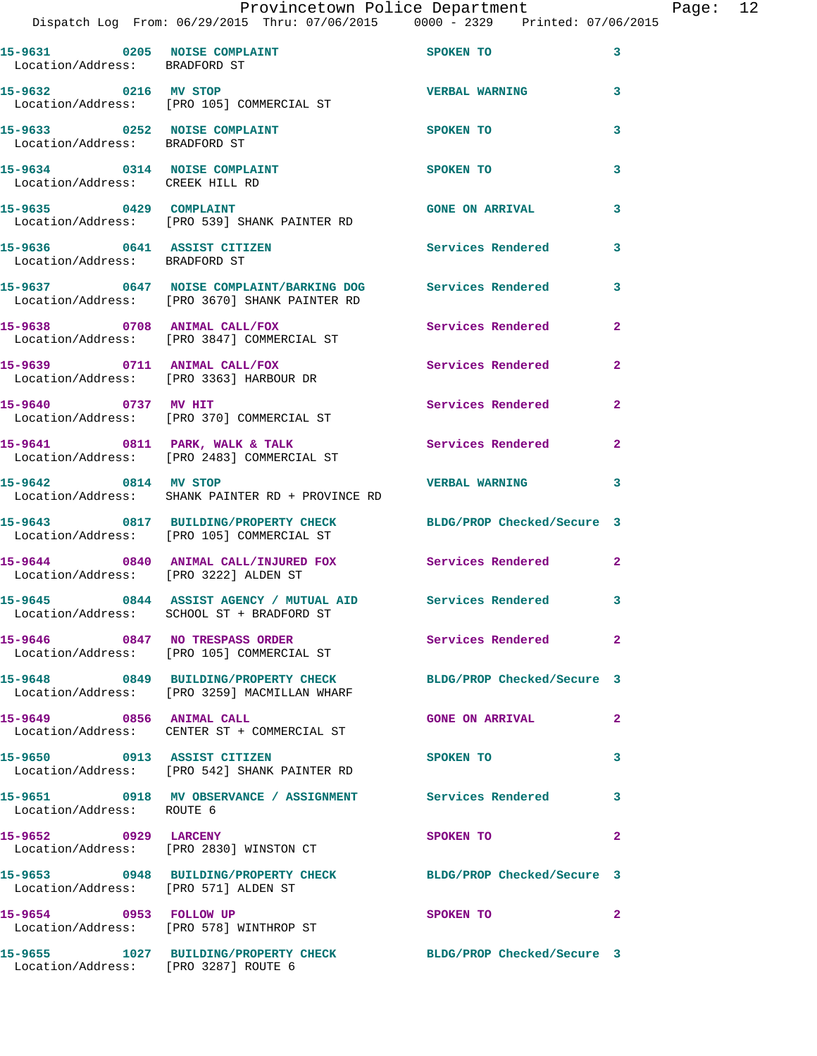|                                      | Provincetown Police Department Page: 12                                                                         |                                         |              |  |
|--------------------------------------|-----------------------------------------------------------------------------------------------------------------|-----------------------------------------|--------------|--|
|                                      | Dispatch Log From: 06/29/2015 Thru: 07/06/2015 0000 - 2329 Printed: 07/06/2015                                  |                                         |              |  |
| Location/Address: BRADFORD ST        | 15-9631 0205 NOISE COMPLAINT SPOKEN TO 3                                                                        |                                         |              |  |
|                                      | 15-9632 0216 MV STOP<br>Location/Address: [PRO 105] COMMERCIAL ST                                               | <b>VERBAL WARNING</b> 3                 |              |  |
|                                      | 15-9633 0252 NOISE COMPLAINT SPOKEN TO<br>Location/Address: BRADFORD ST                                         |                                         | 3            |  |
| Location/Address: CREEK HILL RD      | 15-9634 0314 NOISE COMPLAINT SPOKEN TO                                                                          |                                         | 3            |  |
|                                      | 15-9635 0429 COMPLAINT<br>Location/Address: [PRO 539] SHANK PAINTER RD                                          | GONE ON ARRIVAL 3                       |              |  |
| Location/Address: BRADFORD ST        | 15-9636 0641 ASSIST CITIZEN Services Rendered 3                                                                 |                                         |              |  |
|                                      | 15-9637 0647 NOISE COMPLAINT/BARKING DOG Services Rendered 3<br>Location/Address: [PRO 3670] SHANK PAINTER RD   |                                         |              |  |
|                                      | 15-9638 0708 ANIMAL CALL/FOX Services Rendered 2<br>Location/Address: [PRO 3847] COMMERCIAL ST                  |                                         |              |  |
|                                      | 15-9639 0711 ANIMAL CALL/FOX<br>Location/Address: [PRO 3363] HARBOUR DR                                         | Services Rendered 2                     |              |  |
|                                      | 15-9640 0737 MV HIT Services Rendered 2<br>Location/Address: [PRO 370] COMMERCIAL ST                            |                                         |              |  |
|                                      | 15-9641 0811 PARK, WALK & TALK Services Rendered 2<br>Location/Address: [PRO 2483] COMMERCIAL ST                |                                         |              |  |
|                                      | 15-9642 0814 MV STOP CONTROL TO BE VERBAL WARNING 3<br>Location/Address: SHANK PAINTER RD + PROVINCE RD         |                                         |              |  |
|                                      | 15-9643 0817 BUILDING/PROPERTY CHECK BLDG/PROP Checked/Secure 3<br>Location/Address: [PRO 105] COMMERCIAL ST    |                                         |              |  |
|                                      | 15-9644 0840 ANIMAL CALL/INJURED FOX Services Rendered 2<br>Location/Address: [PRO 3222] ALDEN ST               |                                         |              |  |
|                                      | 15-9645 0844 ASSIST AGENCY / MUTUAL AID Services Rendered 3<br>Location/Address: SCHOOL ST + BRADFORD ST        |                                         |              |  |
|                                      | 15-9646 0847 NO TRESPASS ORDER<br>Location/Address: [PRO 105] COMMERCIAL ST                                     | Services Rendered 2                     |              |  |
|                                      | 15-9648 0849 BUILDING/PROPERTY CHECK BLDG/PROP Checked/Secure 3<br>Location/Address: [PRO 3259] MACMILLAN WHARF |                                         |              |  |
|                                      | 15-9649 0856 ANIMAL CALL<br>Location/Address: CENTER ST + COMMERCIAL ST                                         | <b>GONE ON ARRIVAL</b>                  | $\mathbf{2}$ |  |
| 15-9650 0913 ASSIST CITIZEN          | Location/Address: [PRO 542] SHANK PAINTER RD                                                                    | SPOKEN TO                               | $\mathbf{3}$ |  |
| Location/Address: ROUTE 6            | 15-9651 0918 MV OBSERVANCE / ASSIGNMENT Services Rendered 3                                                     |                                         |              |  |
| 15-9652 0929 LARCENY                 | Location/Address: [PRO 2830] WINSTON CT                                                                         | SPOKEN TO DESCRIPTION OF REAL PROPERTY. | $\mathbf{2}$ |  |
| Location/Address: [PRO 571] ALDEN ST | 15-9653 0948 BUILDING/PROPERTY CHECK BLDG/PROP Checked/Secure 3                                                 |                                         |              |  |
| 15-9654 0953 FOLLOW UP               | Location/Address: [PRO 578] WINTHROP ST                                                                         | SPOKEN TO AND TO A THE SPOKEN TO        | $\sim$ 2     |  |
| Location/Address: [PRO 3287] ROUTE 6 | 15-9655 1027 BUILDING/PROPERTY CHECK BLDG/PROP Checked/Secure 3                                                 |                                         |              |  |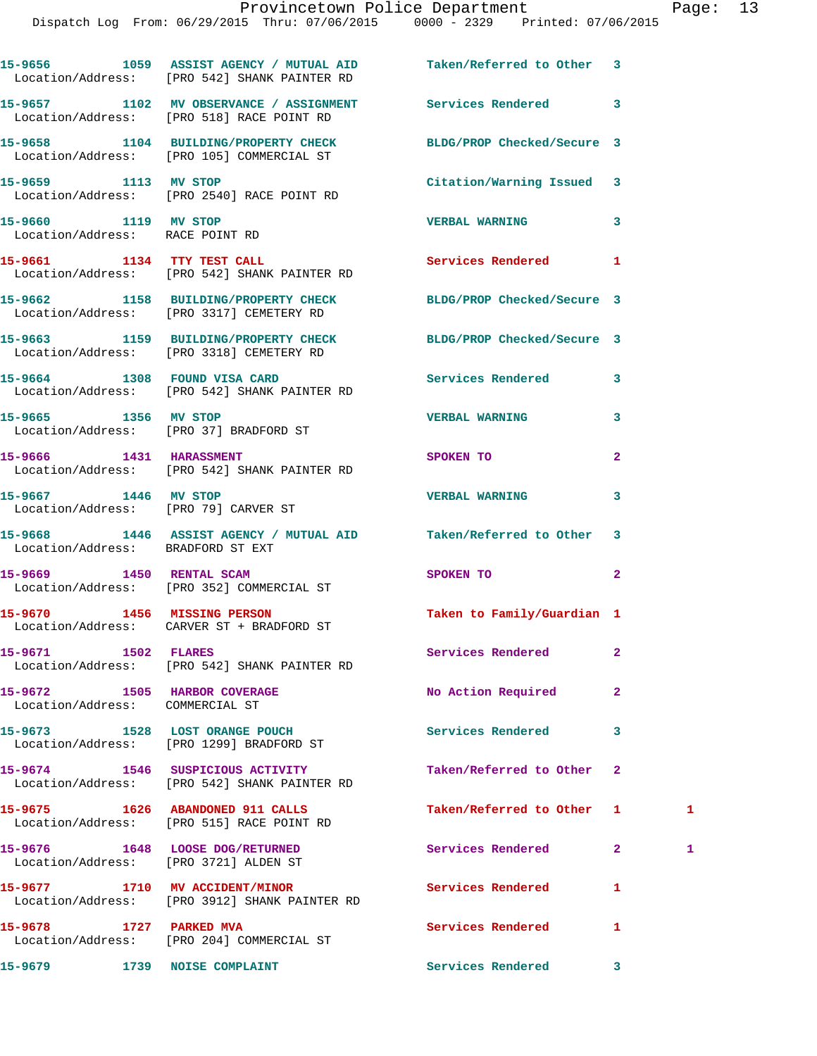|                                                                 | 15-9656 1059 ASSIST AGENCY / MUTUAL AID Taken/Referred to Other 3<br>Location/Address: [PRO 542] SHANK PAINTER RD |                            |                |   |
|-----------------------------------------------------------------|-------------------------------------------------------------------------------------------------------------------|----------------------------|----------------|---|
|                                                                 | 15-9657 1102 MV OBSERVANCE / ASSIGNMENT Services Rendered<br>Location/Address: [PRO 518] RACE POINT RD            |                            | 3              |   |
|                                                                 | 15-9658 1104 BUILDING/PROPERTY CHECK<br>Location/Address: [PRO 105] COMMERCIAL ST                                 | BLDG/PROP Checked/Secure 3 |                |   |
| 15-9659 1113 MV STOP                                            | Location/Address: [PRO 2540] RACE POINT RD                                                                        | Citation/Warning Issued 3  |                |   |
| 15-9660 1119 MV STOP<br>Location/Address: RACE POINT RD         |                                                                                                                   | <b>VERBAL WARNING</b>      | 3              |   |
| 15-9661 1134 TTY TEST CALL                                      | Location/Address: [PRO 542] SHANK PAINTER RD                                                                      | Services Rendered          | 1              |   |
|                                                                 | 15-9662 1158 BUILDING/PROPERTY CHECK<br>Location/Address: [PRO 3317] CEMETERY RD                                  | BLDG/PROP Checked/Secure 3 |                |   |
|                                                                 | 15-9663 1159 BUILDING/PROPERTY CHECK<br>Location/Address: [PRO 3318] CEMETERY RD                                  | BLDG/PROP Checked/Secure 3 |                |   |
|                                                                 | 15-9664 1308 FOUND VISA CARD<br>Location/Address: [PRO 542] SHANK PAINTER RD                                      | Services Rendered          | 3              |   |
| 15-9665 1356 MV STOP                                            | Location/Address: [PRO 37] BRADFORD ST                                                                            | <b>VERBAL WARNING</b>      | 3              |   |
| 15-9666 1431 HARASSMENT                                         | Location/Address: [PRO 542] SHANK PAINTER RD                                                                      | <b>SPOKEN TO</b>           | $\overline{a}$ |   |
| 15-9667 1446 MV STOP<br>Location/Address: [PRO 79] CARVER ST    |                                                                                                                   | <b>VERBAL WARNING</b>      | 3              |   |
| Location/Address: BRADFORD ST EXT                               | 15-9668 1446 ASSIST AGENCY / MUTUAL AID Taken/Referred to Other                                                   |                            | 3              |   |
|                                                                 | 15-9669 1450 RENTAL SCAM<br>Location/Address: [PRO 352] COMMERCIAL ST                                             | SPOKEN TO                  | $\mathbf{2}$   |   |
|                                                                 | 15-9670 1456 MISSING PERSON<br>Location/Address: CARVER ST + BRADFORD ST                                          | Taken to Family/Guardian 1 |                |   |
| <b>1502 FLARES</b><br>15-9671                                   | Location/Address: [PRO 542] SHANK PAINTER RD                                                                      | Services Rendered          | $\mathbf{2}$   |   |
| 15-9672 1505 HARBOR COVERAGE<br>Location/Address: COMMERCIAL ST |                                                                                                                   | No Action Required         | $\mathbf{2}$   |   |
|                                                                 | 15-9673 1528 LOST ORANGE POUCH<br>Location/Address: [PRO 1299] BRADFORD ST                                        | <b>Services Rendered</b>   | 3              |   |
|                                                                 | Location/Address: [PRO 542] SHANK PAINTER RD                                                                      | Taken/Referred to Other    | $\mathbf{2}$   |   |
|                                                                 | 15-9675 1626 ABANDONED 911 CALLS<br>Location/Address: [PRO 515] RACE POINT RD                                     | Taken/Referred to Other    | 1              | 1 |
| Location/Address: [PRO 3721] ALDEN ST                           | 15-9676 1648 LOOSE DOG/RETURNED                                                                                   | Services Rendered          | $\mathbf{2}$   | 1 |
|                                                                 | 15-9677 1710 MV ACCIDENT/MINOR<br>Location/Address: [PRO 3912] SHANK PAINTER RD                                   | <b>Services Rendered</b>   | 1              |   |
| 15-9678 1727 PARKED MVA                                         | Location/Address: [PRO 204] COMMERCIAL ST                                                                         | Services Rendered          | 1              |   |
| 15-9679 1739 NOISE COMPLAINT                                    |                                                                                                                   | Services Rendered          | 3              |   |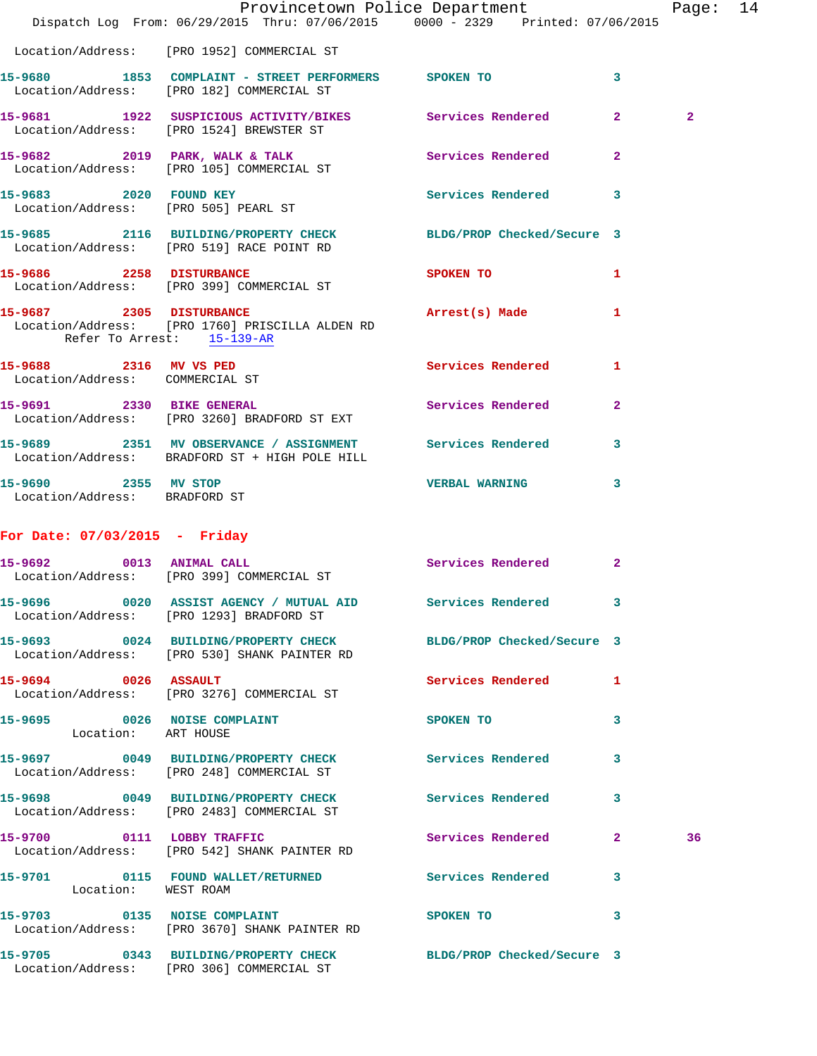|                                                           | Dispatch Log From: 06/29/2015 Thru: 07/06/2015 0000 - 2329 Printed: 07/06/2015                                  | Provincetown Police Department                                                  |              | Page: 14       |  |
|-----------------------------------------------------------|-----------------------------------------------------------------------------------------------------------------|---------------------------------------------------------------------------------|--------------|----------------|--|
|                                                           | Location/Address: [PRO 1952] COMMERCIAL ST                                                                      |                                                                                 |              |                |  |
|                                                           | 15-9680 1853 COMPLAINT - STREET PERFORMERS SPOKEN TO<br>Location/Address: [PRO 182] COMMERCIAL ST               |                                                                                 | $\mathbf{3}$ |                |  |
|                                                           | 15-9681 1922 SUSPICIOUS ACTIVITY/BIKES Services Rendered 2<br>Location/Address: [PRO 1524] BREWSTER ST          |                                                                                 |              | $\overline{2}$ |  |
|                                                           | 15-9682 2019 PARK, WALK & TALK 3 Services Rendered 2<br>Location/Address: [PRO 105] COMMERCIAL ST               |                                                                                 |              |                |  |
|                                                           | 15-9683 2020 FOUND KEY<br>Location/Address: [PRO 505] PEARL ST                                                  | Services Rendered 3                                                             |              |                |  |
|                                                           | 15-9685 2116 BUILDING/PROPERTY CHECK BLDG/PROP Checked/Secure 3<br>Location/Address: [PRO 519] RACE POINT RD    |                                                                                 |              |                |  |
|                                                           | 15-9686 2258 DISTURBANCE<br>Location/Address: [PRO 399] COMMERCIAL ST                                           | SPOKEN TO AND TO A STRUCK TO A THING OF THE STRUCK OF THE STRUCK OF THE STRUCK. | $\mathbf{1}$ |                |  |
| Refer To Arrest: 15-139-AR                                | 15-9687 2305 DISTURBANCE<br>Location/Address: [PRO 1760] PRISCILLA ALDEN RD                                     | Arrest(s) Made                                                                  | $\mathbf{1}$ |                |  |
| 15-9688 2316 MV VS PED<br>Location/Address: COMMERCIAL ST |                                                                                                                 | Services Rendered 1                                                             |              |                |  |
|                                                           | 15-9691 2330 BIKE GENERAL<br>Location/Address: [PRO 3260] BRADFORD ST EXT                                       | Services Rendered                                                               | $\mathbf{2}$ |                |  |
|                                                           | 15-9689 2351 MV OBSERVANCE / ASSIGNMENT Services Rendered 3<br>Location/Address: BRADFORD ST + HIGH POLE HILL   |                                                                                 |              |                |  |
| 15-9690 2355 MV STOP<br>Location/Address: BRADFORD ST     |                                                                                                                 | <b>VERBAL WARNING 3</b>                                                         |              |                |  |
| For Date: $07/03/2015$ - Friday                           |                                                                                                                 |                                                                                 |              |                |  |
|                                                           | 15-9692 0013 ANIMAL CALL<br>Location/Address: [PRO 399] COMMERCIAL ST                                           | Services Rendered 2                                                             |              |                |  |
| 15-9696                                                   | 0020 ASSIST AGENCY / MUTUAL AID Services Rendered 3<br>Location/Address: [PRO 1293] BRADFORD ST                 |                                                                                 |              |                |  |
|                                                           | 15-9693 0024 BUILDING/PROPERTY CHECK BLDG/PROP Checked/Secure 3<br>Location/Address: [PRO 530] SHANK PAINTER RD |                                                                                 |              |                |  |
| 15-9694 0026 ASSAULT                                      | Location/Address: [PRO 3276] COMMERCIAL ST                                                                      | Services Rendered 1                                                             |              |                |  |
| Location: ART HOUSE                                       | 15-9695 0026 NOISE COMPLAINT                                                                                    | SPOKEN TO                                                                       | $\mathbf{3}$ |                |  |
|                                                           | 15-9697 0049 BUILDING/PROPERTY CHECK Services Rendered 3<br>Location/Address: [PRO 248] COMMERCIAL ST           |                                                                                 |              |                |  |
|                                                           | 15-9698 0049 BUILDING/PROPERTY CHECK Services Rendered 3<br>Location/Address: [PRO 2483] COMMERCIAL ST          |                                                                                 |              |                |  |
| 15-9700 0111 LOBBY TRAFFIC                                | Location/Address: [PRO 542] SHANK PAINTER RD                                                                    | Services Rendered 2                                                             |              | 36             |  |
| Location: WEST ROAM                                       | 15-9701 0115 FOUND WALLET/RETURNED Services Rendered 3                                                          |                                                                                 |              |                |  |
|                                                           | 15-9703 0135 NOISE COMPLAINT SPOKEN TO 3<br>Location/Address: [PRO 3670] SHANK PAINTER RD                       |                                                                                 |              |                |  |
|                                                           | 15-9705 0343 BUILDING/PROPERTY CHECK BLDG/PROP Checked/Secure 3<br>Location/Address: [PRO 306] COMMERCIAL ST    |                                                                                 |              |                |  |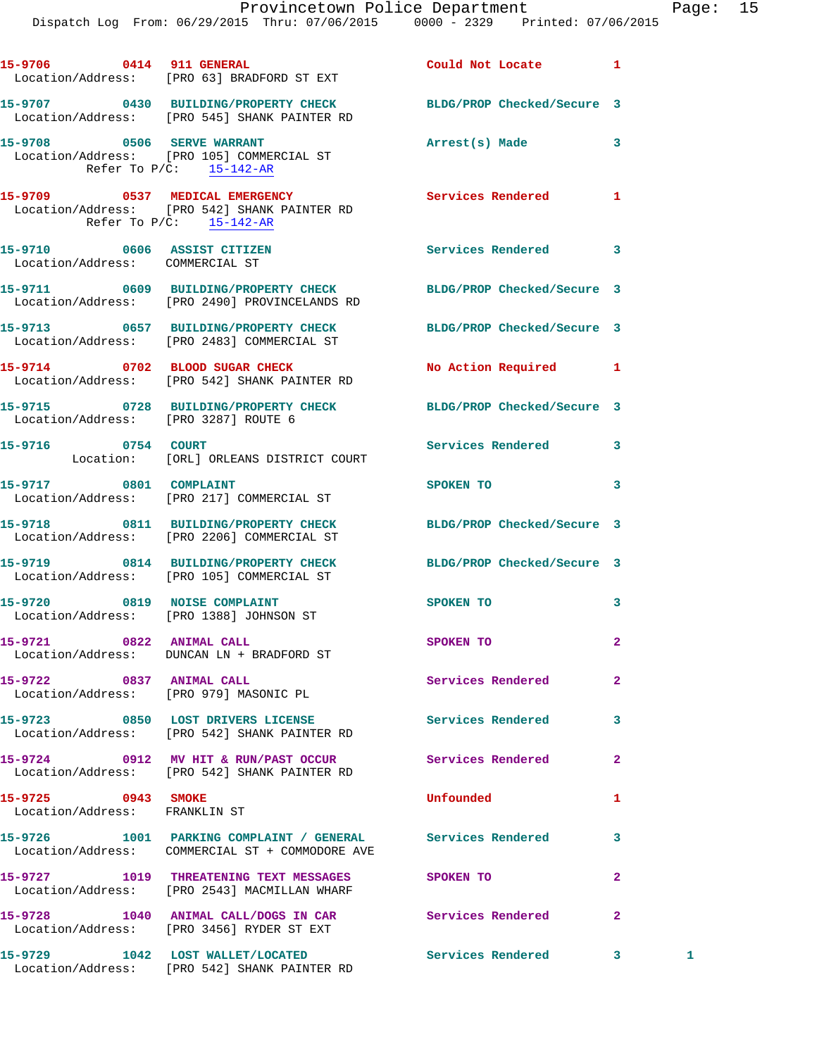Dispatch Log From: 06/29/2015 Thru: 07/06/2015 0000 - 2329 Printed: 07/06/2015

|                                                                | 15-9706 0414 911 GENERAL<br>Location/Address: [PRO 63] BRADFORD ST EXT                                           | Could Not Locate 1   |                |   |
|----------------------------------------------------------------|------------------------------------------------------------------------------------------------------------------|----------------------|----------------|---|
|                                                                | 15-9707 0430 BUILDING/PROPERTY CHECK BLDG/PROP Checked/Secure 3<br>Location/Address: [PRO 545] SHANK PAINTER RD  |                      |                |   |
| Refer To $P/C$ : 15-142-AR                                     | 15-9708 0506 SERVE WARRANT<br>Location/Address: [PRO 105] COMMERCIAL ST                                          | Arrest(s) Made 3     |                |   |
|                                                                | 15-9709 0537 MEDICAL EMERGENCY<br>Location/Address: [PRO 542] SHANK PAINTER RD<br>Refer To P/C: 15-142-AR        | Services Rendered    | 1              |   |
| 15-9710 0606 ASSIST CITIZEN<br>Location/Address: COMMERCIAL ST |                                                                                                                  | Services Rendered    | 3              |   |
|                                                                | 15-9711 0609 BUILDING/PROPERTY CHECK BLDG/PROP Checked/Secure 3<br>Location/Address: [PRO 2490] PROVINCELANDS RD |                      |                |   |
|                                                                | 15-9713 0657 BUILDING/PROPERTY CHECK BLDG/PROP Checked/Secure 3<br>Location/Address: [PRO 2483] COMMERCIAL ST    |                      |                |   |
|                                                                | 15-9714 0702 BLOOD SUGAR CHECK<br>Location/Address: [PRO 542] SHANK PAINTER RD                                   | No Action Required 1 |                |   |
| Location/Address: [PRO 3287] ROUTE 6                           | 15-9715 0728 BUILDING/PROPERTY CHECK BLDG/PROP Checked/Secure 3                                                  |                      |                |   |
| 15-9716 0754 COURT                                             | Location: [ORL] ORLEANS DISTRICT COURT                                                                           | Services Rendered    | 3              |   |
|                                                                | 15-9717 0801 COMPLAINT<br>Location/Address: [PRO 217] COMMERCIAL ST                                              | SPOKEN TO            | 3              |   |
|                                                                | 15-9718 0811 BUILDING/PROPERTY CHECK BLDG/PROP Checked/Secure 3<br>Location/Address: [PRO 2206] COMMERCIAL ST    |                      |                |   |
|                                                                | 15-9719 0814 BUILDING/PROPERTY CHECK BLDG/PROP Checked/Secure 3<br>Location/Address: [PRO 105] COMMERCIAL ST     |                      |                |   |
| 15-9720 0819 NOISE COMPLAINT                                   | Location/Address: [PRO 1388] JOHNSON ST                                                                          | <b>SPOKEN TO</b>     | 3              |   |
| 15-9721 0822 ANIMAL CALL                                       | Location/Address: DUNCAN LN + BRADFORD ST                                                                        | SPOKEN TO            | $\mathbf{2}$   |   |
| 15-9722 0837 ANIMAL CALL                                       | Location/Address: [PRO 979] MASONIC PL                                                                           | Services Rendered    | $\overline{a}$ |   |
|                                                                | 15-9723 0850 LOST DRIVERS LICENSE 2000 Services Rendered<br>Location/Address: [PRO 542] SHANK PAINTER RD         |                      | 3              |   |
|                                                                | 15-9724 0912 MV HIT & RUN/PAST OCCURS Envices Rendered<br>Location/Address: [PRO 542] SHANK PAINTER RD           |                      | $\overline{2}$ |   |
| 15-9725 0943 SMOKE<br>Location/Address: FRANKLIN ST            |                                                                                                                  | Unfounded            | 1              |   |
|                                                                | 15-9726 1001 PARKING COMPLAINT / GENERAL Services Rendered<br>Location/Address: COMMERCIAL ST + COMMODORE AVE    |                      | 3              |   |
|                                                                | 15-9727 1019 THREATENING TEXT MESSAGES SPOKEN TO<br>Location/Address: [PRO 2543] MACMILLAN WHARF                 |                      | $\mathbf{2}$   |   |
|                                                                | 15-9728 1040 ANIMAL CALL/DOGS IN CAR Services Rendered<br>Location/Address: [PRO 3456] RYDER ST EXT              |                      | $\mathbf{2}$   |   |
|                                                                | 15-9729 1042 LOST WALLET/LOCATED Services Rendered<br>Location/Address: [PRO 542] SHANK PAINTER RD               |                      | $3^{\circ}$    | 1 |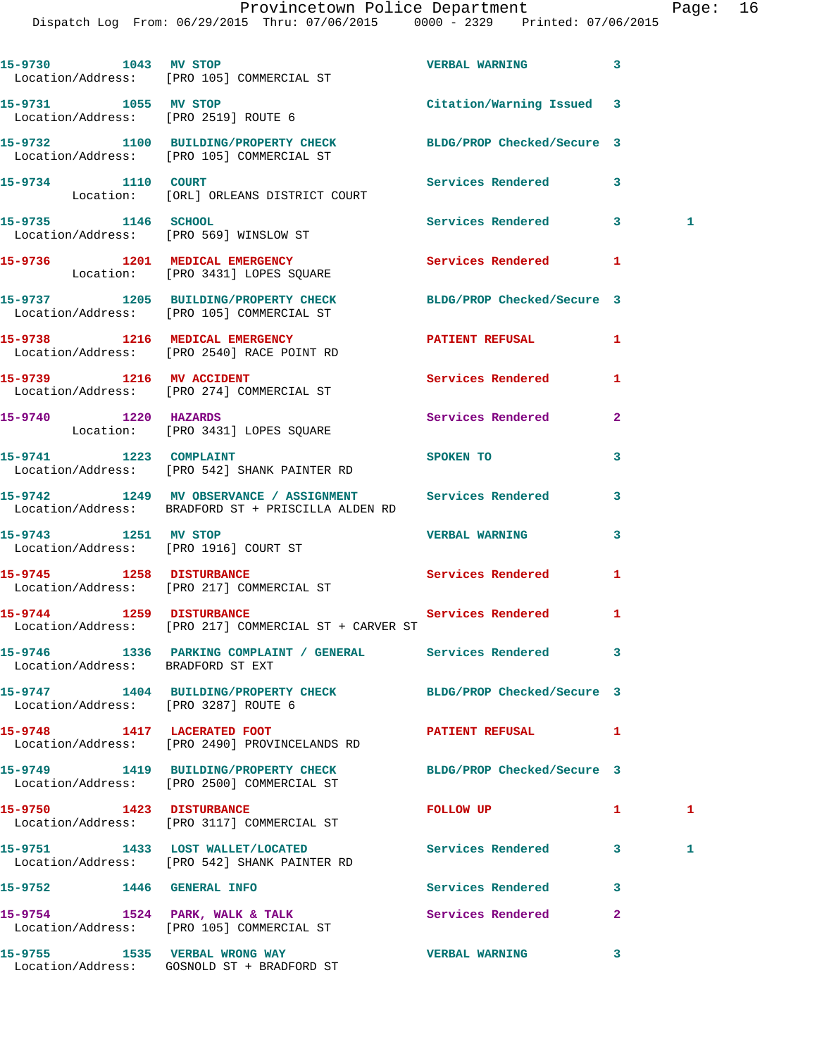| 15-9730 1043 MV STOP                 | Location/Address: [PRO 105] COMMERCIAL ST                                                                       | <b>VERBAL WARNING</b>     | 3            |    |
|--------------------------------------|-----------------------------------------------------------------------------------------------------------------|---------------------------|--------------|----|
|                                      | 15-9731 1055 MV STOP<br>Location/Address: [PRO 2519] ROUTE 6                                                    | Citation/Warning Issued 3 |              |    |
|                                      | 15-9732 1100 BUILDING/PROPERTY CHECK BLDG/PROP Checked/Secure 3<br>Location/Address: [PRO 105] COMMERCIAL ST    |                           |              |    |
|                                      | 15-9734 1110 COURT<br>Location: [ORL] ORLEANS DISTRICT COURT                                                    | <b>Services Rendered</b>  | 3            |    |
| 15-9735 1146 SCHOOL                  | Location/Address: [PRO 569] WINSLOW ST                                                                          | Services Rendered 3       |              | 1. |
|                                      | 15-9736 1201 MEDICAL EMERGENCY<br>Location: [PRO 3431] LOPES SQUARE                                             | <b>Services Rendered</b>  | 1            |    |
|                                      | 15-9737 1205 BUILDING/PROPERTY CHECK BLDG/PROP Checked/Secure 3<br>Location/Address: [PRO 105] COMMERCIAL ST    |                           |              |    |
|                                      | 15-9738 1216 MEDICAL EMERGENCY<br>Location/Address: [PRO 2540] RACE POINT RD                                    | PATIENT REFUSAL           | 1            |    |
|                                      | 15-9739 1216 MV ACCIDENT<br>Location/Address: [PRO 274] COMMERCIAL ST                                           | <b>Services Rendered</b>  | 1            |    |
|                                      | 15-9740 1220 HAZARDS<br>Location: [PRO 3431] LOPES SQUARE                                                       | Services Rendered         | $\mathbf{2}$ |    |
|                                      | 15-9741 1223 COMPLAINT<br>Location/Address: [PRO 542] SHANK PAINTER RD                                          | SPOKEN TO                 | 3            |    |
|                                      | 15-9742 1249 MV OBSERVANCE / ASSIGNMENT Services Rendered<br>Location/Address: BRADFORD ST + PRISCILLA ALDEN RD |                           | 3            |    |
| 15-9743 1251 MV STOP                 | Location/Address: [PRO 1916] COURT ST                                                                           | <b>VERBAL WARNING</b>     | 3            |    |
|                                      | 15-9745 1258 DISTURBANCE<br>Location/Address: [PRO 217] COMMERCIAL ST                                           | Services Rendered         | 1            |    |
|                                      | 15-9744 1259 DISTURBANCE Services Rendered<br>Location/Address: [PRO 217] COMMERCIAL ST + CARVER ST             |                           | 1            |    |
| Location/Address: BRADFORD ST EXT    | 15-9746 1336 PARKING COMPLAINT / GENERAL                                                                        | Services Rendered         | 3            |    |
| Location/Address: [PRO 3287] ROUTE 6 | 15-9747 1404 BUILDING/PROPERTY CHECK BLDG/PROP Checked/Secure 3                                                 |                           |              |    |
|                                      | 15-9748 1417 LACERATED FOOT<br>Location/Address: [PRO 2490] PROVINCELANDS RD                                    | PATIENT REFUSAL           | 1            |    |
|                                      | 15-9749 1419 BUILDING/PROPERTY CHECK BLDG/PROP Checked/Secure 3<br>Location/Address: [PRO 2500] COMMERCIAL ST   |                           |              |    |
|                                      | 15-9750 1423 DISTURBANCE<br>Location/Address: [PRO 3117] COMMERCIAL ST                                          | FOLLOW UP                 | $\mathbf{1}$ | 1  |
|                                      | 15-9751 1433 LOST WALLET/LOCATED<br>Location/Address: [PRO 542] SHANK PAINTER RD                                | <b>Services Rendered</b>  | 3            | 1  |
| 15-9752 1446 GENERAL INFO            |                                                                                                                 | Services Rendered         | 3            |    |
|                                      | 15-9754 1524 PARK, WALK & TALK<br>Location/Address: [PRO 105] COMMERCIAL ST                                     | Services Rendered         | 2            |    |
|                                      | 15-9755 1535 VERBAL WRONG WAY<br>Location/Address: GOSNOLD ST + BRADFORD ST                                     | <b>VERBAL WARNING</b>     | 3            |    |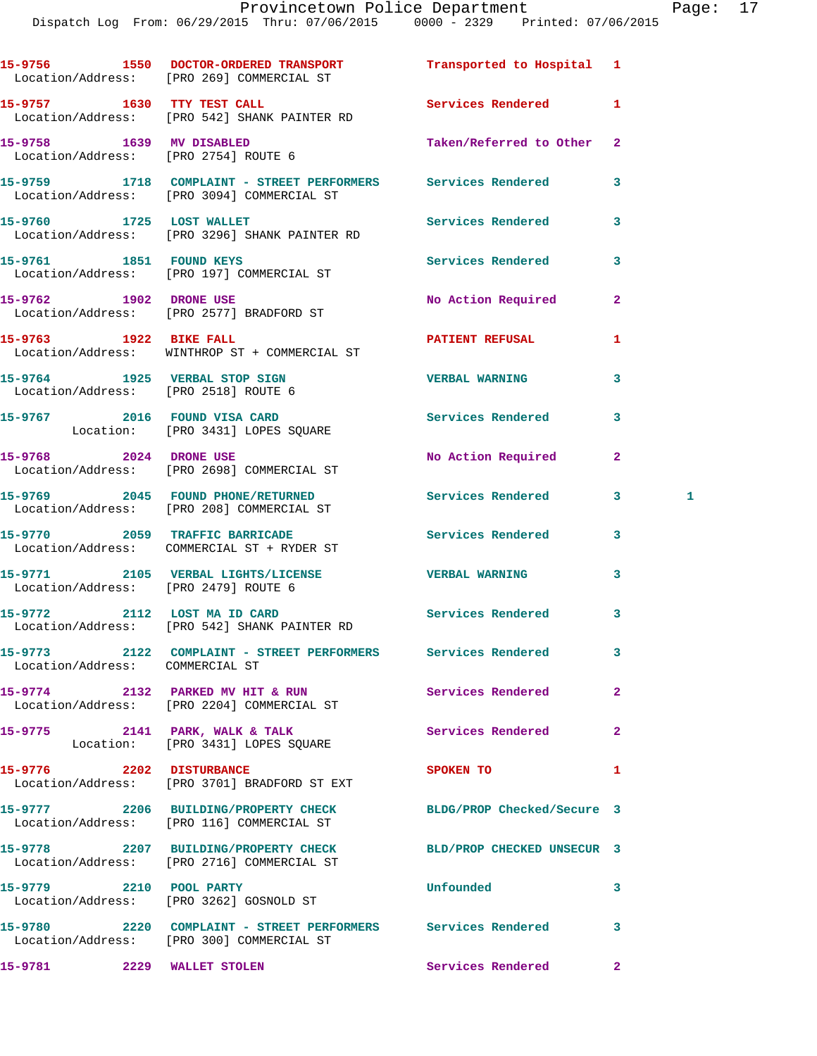|                                                                  | 15-9756 1550 DOCTOR-ORDERED TRANSPORT<br>Location/Address: [PRO 269] COMMERCIAL ST                            | Transported to Hospital 1  |                     |
|------------------------------------------------------------------|---------------------------------------------------------------------------------------------------------------|----------------------------|---------------------|
|                                                                  | 15-9757 1630 TTY TEST CALL<br>Location/Address: [PRO 542] SHANK PAINTER RD                                    | Services Rendered          | 1                   |
| 15-9758 1639 MV DISABLED<br>Location/Address: [PRO 2754] ROUTE 6 |                                                                                                               | Taken/Referred to Other    | $\mathbf{2}$        |
|                                                                  | 15-9759 1718 COMPLAINT - STREET PERFORMERS Services Rendered<br>Location/Address: [PRO 3094] COMMERCIAL ST    |                            | 3                   |
|                                                                  | 15-9760 1725 LOST WALLET<br>Location/Address: [PRO 3296] SHANK PAINTER RD                                     | Services Rendered          | 3                   |
|                                                                  | 15-9761 1851 FOUND KEYS<br>Location/Address: [PRO 197] COMMERCIAL ST                                          | <b>Services Rendered</b>   | 3                   |
| 15-9762 1902 DRONE USE                                           | Location/Address: [PRO 2577] BRADFORD ST                                                                      | No Action Required         | $\mathbf{2}$        |
|                                                                  | 15-9763 1922 BIKE FALL<br>Location/Address: WINTHROP ST + COMMERCIAL ST                                       | <b>PATIENT REFUSAL</b>     | 1                   |
|                                                                  | 15-9764 1925 VERBAL STOP SIGN<br>Location/Address: [PRO 2518] ROUTE 6                                         | <b>VERBAL WARNING</b>      | 3                   |
|                                                                  | 15-9767 2016 FOUND VISA CARD<br>Location: [PRO 3431] LOPES SQUARE                                             | Services Rendered          | 3                   |
| 15-9768 2024 DRONE USE                                           | Location/Address: [PRO 2698] COMMERCIAL ST                                                                    | No Action Required         | $\mathbf{2}$        |
|                                                                  | 15-9769 2045 FOUND PHONE/RETURNED<br>Location/Address: [PRO 208] COMMERCIAL ST                                | Services Rendered          | 3 <sup>1</sup><br>1 |
|                                                                  | 15-9770 2059 TRAFFIC BARRICADE<br>Location/Address: COMMERCIAL ST + RYDER ST                                  | Services Rendered          | 3                   |
| Location/Address: [PRO 2479] ROUTE 6                             | 15-9771 2105 VERBAL LIGHTS/LICENSE 7 VERBAL WARNING                                                           |                            | 3                   |
|                                                                  | 15-9772 2112 LOST MA ID CARD<br>Location/Address: [PRO 542] SHANK PAINTER RD                                  | Services Rendered          | 3                   |
| Location/Address: COMMERCIAL ST                                  | 15-9773 2122 COMPLAINT - STREET PERFORMERS Services Rendered                                                  |                            | 3                   |
|                                                                  | 15-9774 2132 PARKED MV HIT & RUN<br>Location/Address: [PRO 2204] COMMERCIAL ST                                | Services Rendered          | $\overline{a}$      |
|                                                                  | 15-9775 2141 PARK, WALK & TALK<br>Location: [PRO 3431] LOPES SQUARE                                           | Services Rendered          | $\mathbf{2}$        |
| 15-9776 2202 DISTURBANCE                                         | Location/Address: [PRO 3701] BRADFORD ST EXT                                                                  | SPOKEN TO                  | 1                   |
|                                                                  | 15-9777 2206 BUILDING/PROPERTY CHECK<br>Location/Address: [PRO 116] COMMERCIAL ST                             | BLDG/PROP Checked/Secure 3 |                     |
|                                                                  | 15-9778 2207 BUILDING/PROPERTY CHECK BLD/PROP CHECKED UNSECUR 3<br>Location/Address: [PRO 2716] COMMERCIAL ST |                            |                     |
|                                                                  | 15-9779 2210 POOL PARTY<br>Location/Address: [PRO 3262] GOSNOLD ST                                            | Unfounded                  | 3                   |
|                                                                  | 15-9780 2220 COMPLAINT - STREET PERFORMERS Services Rendered<br>Location/Address: [PRO 300] COMMERCIAL ST     |                            | 3                   |
| 15-9781 2229 WALLET STOLEN                                       |                                                                                                               | Services Rendered          | $\mathbf{2}$        |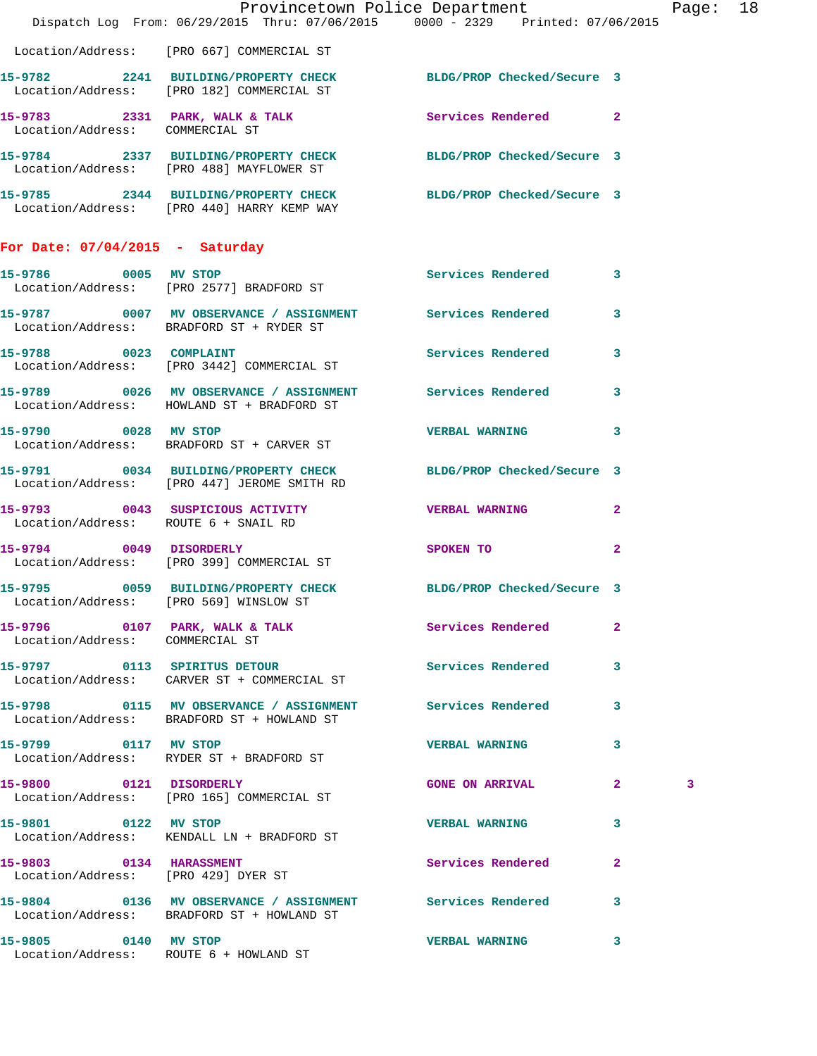|                                      | Provincetown Police Department<br>Dispatch Log From: 06/29/2015 Thru: 07/06/2015 0000 - 2329 Printed: 07/06/2015 |                          |                | Page: 18 |  |
|--------------------------------------|------------------------------------------------------------------------------------------------------------------|--------------------------|----------------|----------|--|
|                                      | Location/Address: [PRO 667] COMMERCIAL ST                                                                        |                          |                |          |  |
|                                      | 15-9782 2241 BUILDING/PROPERTY CHECK BLDG/PROP Checked/Secure 3<br>Location/Address: [PRO 182] COMMERCIAL ST     |                          |                |          |  |
| Location/Address: COMMERCIAL ST      | 15-9783 2331 PARK, WALK & TALK 3 Services Rendered 2                                                             |                          |                |          |  |
|                                      | 15-9784 2337 BUILDING/PROPERTY CHECK BLDG/PROP Checked/Secure 3<br>Location/Address: [PRO 488] MAYFLOWER ST      |                          |                |          |  |
|                                      | 15-9785 2344 BUILDING/PROPERTY CHECK BLDG/PROP Checked/Secure 3<br>Location/Address: [PRO 440] HARRY KEMP WAY    |                          |                |          |  |
| For Date: $07/04/2015$ - Saturday    |                                                                                                                  |                          |                |          |  |
|                                      | 15-9786 0005 MV STOP<br>Location/Address: [PRO 2577] BRADFORD ST                                                 | Services Rendered 3      |                |          |  |
|                                      | 15-9787 0007 MV OBSERVANCE / ASSIGNMENT Services Rendered 3<br>Location/Address: BRADFORD ST + RYDER ST          |                          |                |          |  |
|                                      | 15-9788 0023 COMPLAINT<br>Location/Address: [PRO 3442] COMMERCIAL ST                                             | Services Rendered 3      |                |          |  |
|                                      | 15-9789 0026 MV OBSERVANCE / ASSIGNMENT Services Rendered 3<br>Location/Address: HOWLAND ST + BRADFORD ST        |                          |                |          |  |
| 15-9790 0028 MV STOP                 | Location/Address: BRADFORD ST + CARVER ST                                                                        | <b>VERBAL WARNING</b>    | 3              |          |  |
|                                      | 15-9791 0034 BUILDING/PROPERTY CHECK BLDG/PROP Checked/Secure 3<br>Location/Address: [PRO 447] JEROME SMITH RD   |                          |                |          |  |
| Location/Address: ROUTE 6 + SNAIL RD | 15-9793 0043 SUSPICIOUS ACTIVITY WERBAL WARNING                                                                  |                          | 2              |          |  |
| 15-9794 0049 DISORDERLY              | Location/Address: [PRO 399] COMMERCIAL ST                                                                        | SPOKEN TO                | $\overline{2}$ |          |  |
|                                      | 15-9795 0059 BUILDING/PROPERTY CHECK BLDG/PROP Checked/Secure 3<br>Location/Address: [PRO 569] WINSLOW ST        |                          |                |          |  |
| Location/Address: COMMERCIAL ST      | 15-9796 0107 PARK, WALK & TALK                                                                                   | <b>Services Rendered</b> | 2              |          |  |
|                                      | 15-9797 0113 SPIRITUS DETOUR<br>Location/Address:     CARVER ST + COMMERCIAL ST                                  | Services Rendered        | 3              |          |  |
|                                      | 15-9798 0115 MV OBSERVANCE / ASSIGNMENT Services Rendered<br>Location/Address: BRADFORD ST + HOWLAND ST          |                          | 3              |          |  |
| 15-9799 0117 MV STOP                 | Location/Address: RYDER ST + BRADFORD ST                                                                         | <b>VERBAL WARNING</b>    | 3              |          |  |
| 15-9800 0121 DISORDERLY              | Location/Address: [PRO 165] COMMERCIAL ST                                                                        | <b>GONE ON ARRIVAL</b>   | $\mathbf{2}$   | 3        |  |
| 15-9801 0122 MV STOP                 | Location/Address: KENDALL LN + BRADFORD ST                                                                       | <b>VERBAL WARNING</b>    | 3              |          |  |
| 15-9803 0134 HARASSMENT              | Location/Address: [PRO 429] DYER ST                                                                              | Services Rendered        | $\mathbf{2}$   |          |  |
|                                      | 15-9804 0136 MV OBSERVANCE / ASSIGNMENT Services Rendered<br>Location/Address: BRADFORD ST + HOWLAND ST          |                          | 3              |          |  |
| 15-9805 0140 MV STOP                 | Location/Address: ROUTE 6 + HOWLAND ST                                                                           | <b>VERBAL WARNING</b>    | 3              |          |  |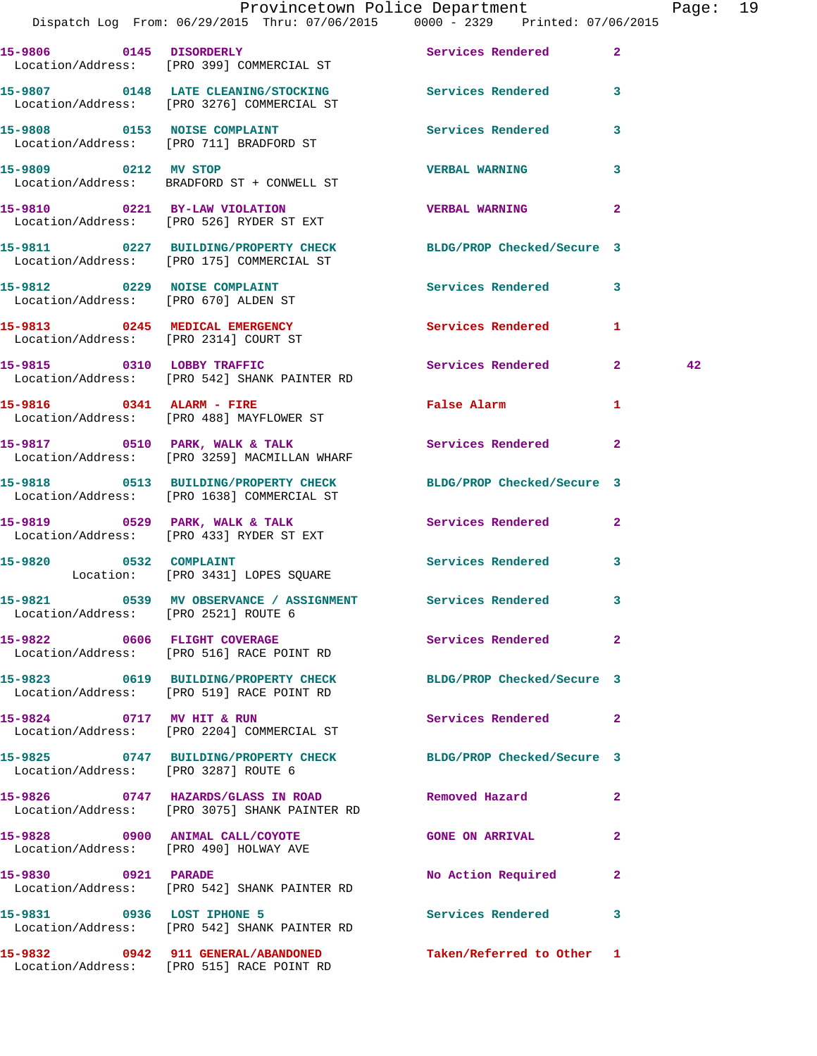|                                       | Dispatch Log From: 06/29/2015 Thru: 07/06/2015 0000 - 2329 Printed: 07/06/2015                                | Provincetown Police Department                                                                                 |              | Page: 19 |  |
|---------------------------------------|---------------------------------------------------------------------------------------------------------------|----------------------------------------------------------------------------------------------------------------|--------------|----------|--|
|                                       | 15-9806 0145 DISORDERLY<br>Location/Address: [PRO 399] COMMERCIAL ST                                          | Services Rendered 2                                                                                            |              |          |  |
|                                       | 15-9807 0148 LATE CLEANING/STOCKING Services Rendered 3<br>Location/Address: [PRO 3276] COMMERCIAL ST         |                                                                                                                |              |          |  |
|                                       | 15-9808 0153 NOISE COMPLAINT<br>Location/Address: [PRO 711] BRADFORD ST                                       | Services Rendered 3                                                                                            |              |          |  |
| 15-9809 0212 MV STOP                  | Location/Address: BRADFORD ST + CONWELL ST                                                                    | <b>VERBAL WARNING</b>                                                                                          | 3            |          |  |
|                                       | 15-9810 0221 BY-LAW VIOLATION<br>Location/Address: [PRO 526] RYDER ST EXT                                     | <b>VERBAL WARNING</b>                                                                                          | $\mathbf{2}$ |          |  |
|                                       | 15-9811 0227 BUILDING/PROPERTY CHECK BLDG/PROP Checked/Secure 3<br>Location/Address: [PRO 175] COMMERCIAL ST  |                                                                                                                |              |          |  |
|                                       | 15-9812 0229 NOISE COMPLAINT<br>Location/Address: [PRO 670] ALDEN ST                                          | Services Rendered 3                                                                                            |              |          |  |
| Location/Address: [PRO 2314] COURT ST | 15-9813 0245 MEDICAL EMERGENCY Services Rendered 1                                                            |                                                                                                                |              |          |  |
|                                       | 15-9815 0310 LOBBY TRAFFIC<br>Location/Address: [PRO 542] SHANK PAINTER RD                                    | Services Rendered 2                                                                                            |              | 42       |  |
|                                       | 15-9816 0341 ALARM - FIRE<br>Location/Address: [PRO 488] MAYFLOWER ST                                         | False Alarm and the state of the state of the state of the state of the state of the state of the state of the | 1            |          |  |
|                                       | 15-9817 0510 PARK, WALK & TALK Services Rendered 2<br>Location/Address: [PRO 3259] MACMILLAN WHARF            |                                                                                                                |              |          |  |
|                                       | 15-9818 0513 BUILDING/PROPERTY CHECK BLDG/PROP Checked/Secure 3<br>Location/Address: [PRO 1638] COMMERCIAL ST |                                                                                                                |              |          |  |
|                                       | 15-9819 0529 PARK, WALK & TALK<br>Location/Address: [PRO 433] RYDER ST EXT                                    | Services Rendered 2                                                                                            |              |          |  |
|                                       | 15-9820 0532 COMPLAINT<br>Location: [PRO 3431] LOPES SQUARE                                                   | Services Rendered 3                                                                                            |              |          |  |
| Location/Address: [PRO 2521] ROUTE 6  | 15-9821 0539 MV OBSERVANCE / ASSIGNMENT Services Rendered                                                     |                                                                                                                |              |          |  |
|                                       | 15-9822 0606 FLIGHT COVERAGE<br>Location/Address: [PRO 516] RACE POINT RD                                     | Services Rendered 2                                                                                            |              |          |  |
|                                       | 15-9823 0619 BUILDING/PROPERTY CHECK BLDG/PROP Checked/Secure 3<br>Location/Address: [PRO 519] RACE POINT RD  |                                                                                                                |              |          |  |
|                                       | 15-9824 0717 MV HIT & RUN<br>Location/Address: [PRO 2204] COMMERCIAL ST                                       | Services Rendered 2                                                                                            |              |          |  |
| Location/Address: [PRO 3287] ROUTE 6  | 15-9825 0747 BUILDING/PROPERTY CHECK BLDG/PROP Checked/Secure 3                                               |                                                                                                                |              |          |  |
|                                       | 15-9826 0747 HAZARDS/GLASS IN ROAD<br>Location/Address: [PRO 3075] SHANK PAINTER RD                           | Removed Hazard                                                                                                 | $\mathbf{2}$ |          |  |
|                                       | 15-9828 0900 ANIMAL CALL/COYOTE GONE ON ARRIVAL<br>Location/Address: [PRO 490] HOLWAY AVE                     |                                                                                                                | $\mathbf{2}$ |          |  |
| 15-9830 0921 PARADE                   | Location/Address: [PRO 542] SHANK PAINTER RD                                                                  | No Action Required                                                                                             | $\mathbf{2}$ |          |  |
| 15-9831 0936 LOST IPHONE 5            | Location/Address: [PRO 542] SHANK PAINTER RD                                                                  | Services Rendered 3                                                                                            |              |          |  |
|                                       | 15-9832 0942 911 GENERAL/ABANDONED Taken/Referred to Other 1                                                  |                                                                                                                |              |          |  |

Location/Address: [PRO 515] RACE POINT RD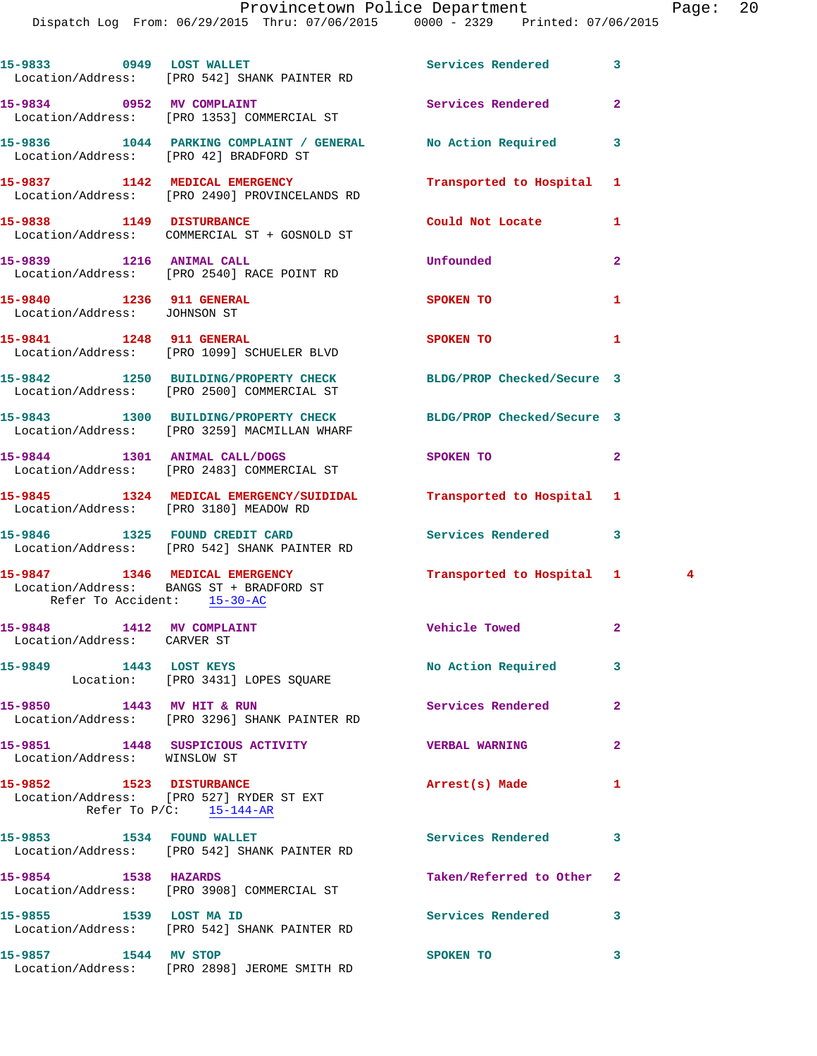| 15-9833 0949 LOST WALLET                                 | Location/Address: [PRO 542] SHANK PAINTER RD                                                                  | Services Rendered             | 3              |
|----------------------------------------------------------|---------------------------------------------------------------------------------------------------------------|-------------------------------|----------------|
|                                                          | 15-9834 0952 MV COMPLAINT<br>Location/Address: [PRO 1353] COMMERCIAL ST                                       | Services Rendered             | $\overline{2}$ |
|                                                          | 15-9836 1044 PARKING COMPLAINT / GENERAL No Action Required<br>Location/Address: [PRO 42] BRADFORD ST         |                               | 3              |
|                                                          | 15-9837 1142 MEDICAL EMERGENCY<br>Location/Address: [PRO 2490] PROVINCELANDS RD                               | Transported to Hospital       | 1              |
|                                                          | 15-9838 1149 DISTURBANCE<br>Location/Address: COMMERCIAL ST + GOSNOLD ST                                      | Could Not Locate              | 1              |
| 15-9839 1216 ANIMAL CALL                                 | Location/Address: [PRO 2540] RACE POINT RD                                                                    | Unfounded                     | $\overline{a}$ |
| 15-9840 1236 911 GENERAL<br>Location/Address: JOHNSON ST |                                                                                                               | SPOKEN TO                     | 1              |
| 15-9841 1248 911 GENERAL                                 | Location/Address: [PRO 1099] SCHUELER BLVD                                                                    | <b>SPOKEN TO</b>              | 1              |
|                                                          | 15-9842 1250 BUILDING/PROPERTY CHECK BLDG/PROP Checked/Secure 3<br>Location/Address: [PRO 2500] COMMERCIAL ST |                               |                |
|                                                          | 15-9843 1300 BUILDING/PROPERTY CHECK<br>Location/Address: [PRO 3259] MACMILLAN WHARF                          | BLDG/PROP Checked/Secure 3    |                |
|                                                          | 15-9844 1301 ANIMAL CALL/DOGS<br>Location/Address: [PRO 2483] COMMERCIAL ST                                   | SPOKEN TO                     | $\mathbf{2}$   |
| Location/Address: [PRO 3180] MEADOW RD                   | 15-9845 1324 MEDICAL EMERGENCY/SUIDIDAL Transported to Hospital 1                                             |                               |                |
|                                                          | 15-9846 1325 FOUND CREDIT CARD<br>Location/Address: [PRO 542] SHANK PAINTER RD                                | Services Rendered             | 3              |
| Refer To Accident: 15-30-AC                              | 15-9847 1346 MEDICAL EMERGENCY<br>Location/Address: BANGS ST + BRADFORD ST                                    | Transported to Hospital 1     | $\frac{4}{3}$  |
| 15-9848 1412 MV COMPLAINT<br>Location/Address: CARVER ST |                                                                                                               | <b>Solution Vehicle Towed</b> | $\mathbf{2}$   |
| 15-9849 1443 LOST KEYS                                   | Location: [PRO 3431] LOPES SQUARE                                                                             | No Action Required            | 3              |
| 15-9850 1443 MV HIT & RUN                                | Location/Address: [PRO 3296] SHANK PAINTER RD                                                                 | Services Rendered             | $\overline{a}$ |
| Location/Address: WINSLOW ST                             | 15-9851 1448 SUSPICIOUS ACTIVITY                                                                              | <b>VERBAL WARNING</b>         | $\mathbf{2}$   |
| 15-9852 1523 DISTURBANCE                                 | Location/Address: [PRO 527] RYDER ST EXT<br>Refer To $P/C$ : $15-144-AR$                                      | Arrest(s) Made                | 1              |
|                                                          | 15-9853 1534 FOUND WALLET<br>Location/Address: [PRO 542] SHANK PAINTER RD                                     | <b>Services Rendered</b>      | 3              |
| 15-9854 1538 HAZARDS                                     | Location/Address: [PRO 3908] COMMERCIAL ST                                                                    | Taken/Referred to Other       | $\mathbf{2}$   |
| 15-9855 1539 LOST MA ID                                  | Location/Address: [PRO 542] SHANK PAINTER RD                                                                  | Services Rendered             | 3              |
| 15-9857 1544 MV STOP                                     | Location/Address: [PRO 2898] JEROME SMITH RD                                                                  | SPOKEN TO                     | 3              |
|                                                          |                                                                                                               |                               |                |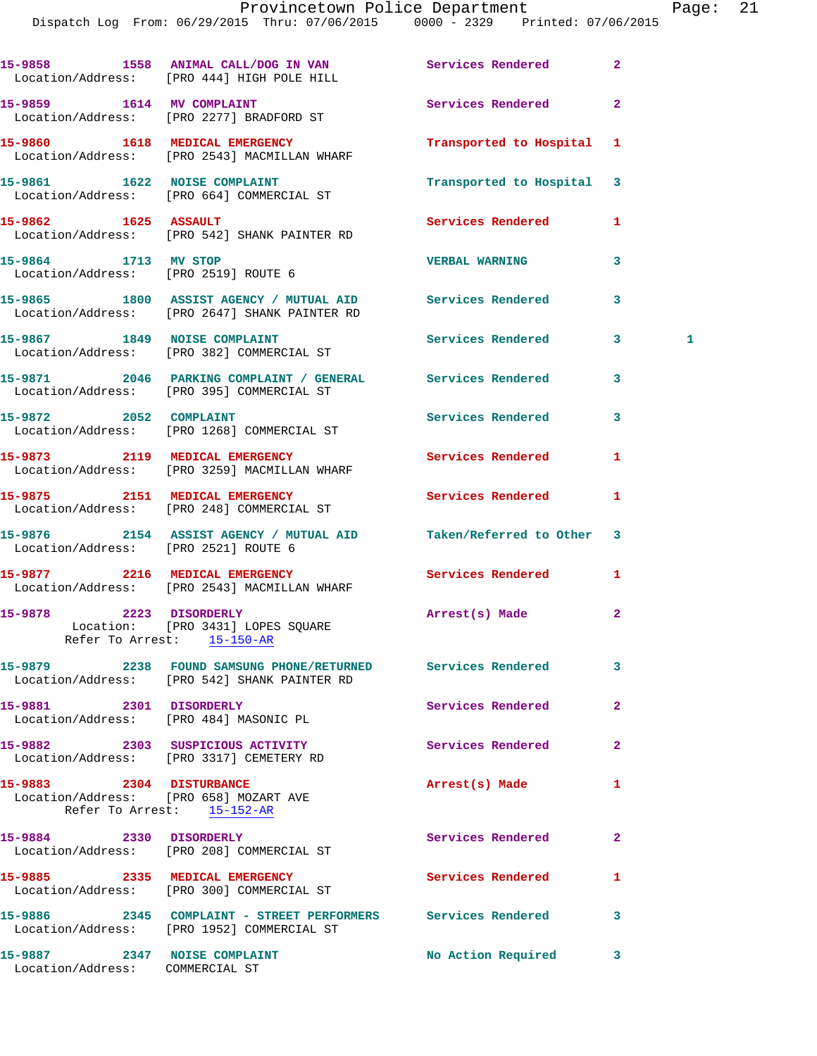Dispatch Log From: 06/29/2015 Thru: 07/06/2015 0000 - 2329 Printed: 07/06/2015

|                                                                 | 15-9858 1558 ANIMAL CALL/DOG IN VAN Services Rendered<br>Location/Address: [PRO 444] HIGH POLE HILL            |                           | $\overline{2}$     |
|-----------------------------------------------------------------|----------------------------------------------------------------------------------------------------------------|---------------------------|--------------------|
|                                                                 | 15-9859 1614 MV COMPLAINT<br>Location/Address: [PRO 2277] BRADFORD ST                                          | Services Rendered         | $\mathbf{2}$       |
|                                                                 | 15-9860 1618 MEDICAL EMERGENCY<br>Location/Address: [PRO 2543] MACMILLAN WHARF                                 | Transported to Hospital 1 |                    |
|                                                                 | 15-9861 1622 NOISE COMPLAINT<br>Location/Address: [PRO 664] COMMERCIAL ST                                      | Transported to Hospital   | 3                  |
| 15-9862 1625 ASSAULT                                            | Location/Address: [PRO 542] SHANK PAINTER RD                                                                   | Services Rendered         | 1                  |
| 15-9864 1713 MV STOP<br>Location/Address: [PRO 2519] ROUTE 6    |                                                                                                                | <b>VERBAL WARNING</b>     | 3                  |
|                                                                 | 15-9865 1800 ASSIST AGENCY / MUTUAL AID Services Rendered<br>Location/Address: [PRO 2647] SHANK PAINTER RD     |                           | 3                  |
|                                                                 | 15-9867 1849 NOISE COMPLAINT<br>Location/Address: [PRO 382] COMMERCIAL ST                                      | Services Rendered         | $\mathbf{3}$<br>-1 |
|                                                                 | 15-9871 2046 PARKING COMPLAINT / GENERAL Services Rendered<br>Location/Address: [PRO 395] COMMERCIAL ST        |                           | 3                  |
|                                                                 | 15-9872 2052 COMPLAINT<br>Location/Address: [PRO 1268] COMMERCIAL ST                                           | <b>Services Rendered</b>  | 3                  |
|                                                                 | 15-9873 2119 MEDICAL EMERGENCY<br>Location/Address: [PRO 3259] MACMILLAN WHARF                                 | <b>Services Rendered</b>  | 1                  |
|                                                                 | 15-9875 2151 MEDICAL EMERGENCY<br>Location/Address: [PRO 248] COMMERCIAL ST                                    | <b>Services Rendered</b>  | 1                  |
| Location/Address: [PRO 2521] ROUTE 6                            | 15-9876 2154 ASSIST AGENCY / MUTUAL AID Taken/Referred to Other                                                |                           | 3                  |
|                                                                 | 15-9877 2216 MEDICAL EMERGENCY Services Rendered<br>Location/Address: [PRO 2543] MACMILLAN WHARF               |                           | 1                  |
| 15-9878 2223 DISORDERLY                                         | Location: [PRO 3431] LOPES SQUARE<br>Refer To Arrest: 15-150-AR                                                | Arrest(s) Made            | $\mathbf{2}$       |
|                                                                 | 15-9879 		 2238 FOUND SAMSUNG PHONE/RETURNED Services Rendered<br>Location/Address: [PRO 542] SHANK PAINTER RD |                           | 3                  |
| 15-9881 2301 DISORDERLY                                         | Location/Address: [PRO 484] MASONIC PL                                                                         | <b>Services Rendered</b>  | 2                  |
|                                                                 | 15-9882 2303 SUSPICIOUS ACTIVITY<br>Location/Address: [PRO 3317] CEMETERY RD                                   | Services Rendered         | $\overline{a}$     |
| 15-9883 2304 DISTURBANCE                                        | Location/Address: [PRO 658] MOZART AVE<br>Refer To Arrest: 15-152-AR                                           | Arrest(s) Made            | 1                  |
| 15-9884 2330 DISORDERLY                                         | Location/Address: [PRO 208] COMMERCIAL ST                                                                      | Services Rendered         | $\overline{a}$     |
|                                                                 | 15-9885 2335 MEDICAL EMERGENCY<br>Location/Address: [PRO 300] COMMERCIAL ST                                    | <b>Services Rendered</b>  | 1                  |
|                                                                 | 15-9886 2345 COMPLAINT - STREET PERFORMERS Services Rendered<br>Location/Address: [PRO 1952] COMMERCIAL ST     |                           | 3                  |
| 15-9887 2347 NOISE COMPLAINT<br>Location/Address: COMMERCIAL ST |                                                                                                                | No Action Required        | 3                  |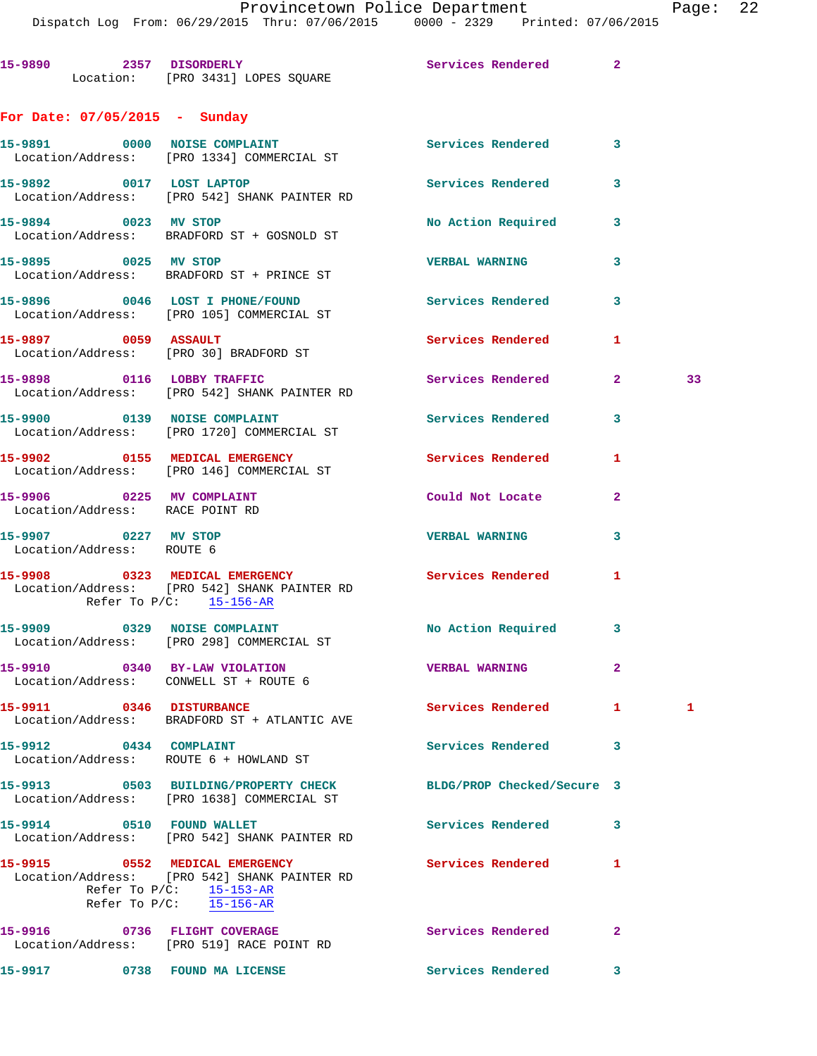|                                                                           | Dispatch Log From: 06/29/2015 Thru: 07/06/2015 0000 - 2329 Printed: 07/06/2015                                |                          |                |    |
|---------------------------------------------------------------------------|---------------------------------------------------------------------------------------------------------------|--------------------------|----------------|----|
|                                                                           | 15-9890 2357 DISORDERLY<br>Location: [PRO 3431] LOPES SQUARE                                                  | Services Rendered 2      |                |    |
| For Date: $07/05/2015$ - Sunday                                           |                                                                                                               |                          |                |    |
|                                                                           | 15-9891 0000 NOISE COMPLAINT<br>Location/Address: [PRO 1334] COMMERCIAL ST                                    | Services Rendered 3      |                |    |
| 15-9892 0017 LOST LAPTOP                                                  | Location/Address: [PRO 542] SHANK PAINTER RD                                                                  | Services Rendered 3      |                |    |
| 15-9894 0023 MV STOP                                                      | Location/Address: BRADFORD ST + GOSNOLD ST                                                                    | No Action Required       | $\mathbf{3}$   |    |
| 15-9895 0025 MV STOP                                                      | Location/Address: BRADFORD ST + PRINCE ST                                                                     | <b>VERBAL WARNING</b>    | 3              |    |
|                                                                           | 15-9896 0046 LOST I PHONE/FOUND<br>Location/Address: [PRO 105] COMMERCIAL ST                                  | Services Rendered        | 3              |    |
| 15-9897 0059 ASSAULT<br>Location/Address: [PRO 30] BRADFORD ST            |                                                                                                               | <b>Services Rendered</b> | 1              |    |
|                                                                           | 15-9898 0116 LOBBY TRAFFIC<br>Location/Address: [PRO 542] SHANK PAINTER RD                                    | Services Rendered        | $\overline{2}$ | 33 |
|                                                                           | 15-9900 0139 NOISE COMPLAINT<br>Location/Address: [PRO 1720] COMMERCIAL ST                                    | <b>Services Rendered</b> | 3              |    |
|                                                                           | 15-9902 0155 MEDICAL EMERGENCY<br>Location/Address: [PRO 146] COMMERCIAL ST                                   | Services Rendered        | 1              |    |
| 15-9906 0225 MV COMPLAINT<br>Location/Address: RACE POINT RD              |                                                                                                               | Could Not Locate         | $\mathbf{2}$   |    |
| 15-9907 0227 MV STOP<br>Location/Address: ROUTE 6                         |                                                                                                               | <b>VERBAL WARNING</b>    | 3              |    |
| Refer To P/C: 15-156-AR                                                   | 15-9908 0323 MEDICAL EMERGENCY<br>Location/Address: [PRO 542] SHANK PAINTER RD                                | Services Rendered        | 1              |    |
| 15-9909 0329 NOISE COMPLAINT                                              | Location/Address: [PRO 298] COMMERCIAL ST                                                                     | No Action Required 3     |                |    |
| Location/Address: CONWELL ST + ROUTE 6                                    | 15-9910 0340 BY-LAW VIOLATION                                                                                 | <b>VERBAL WARNING</b>    | $\mathbf{2}$   |    |
| 15-9911 0346 DISTURBANCE                                                  | Location/Address: BRADFORD ST + ATLANTIC AVE                                                                  | Services Rendered 1      |                | 1  |
| 15-9912 0434 COMPLAINT<br>Location/Address: ROUTE 6 + HOWLAND ST          |                                                                                                               | Services Rendered        | 3              |    |
|                                                                           | 15-9913 0503 BUILDING/PROPERTY CHECK BLDG/PROP Checked/Secure 3<br>Location/Address: [PRO 1638] COMMERCIAL ST |                          |                |    |
|                                                                           | 15-9914 0510 FOUND WALLET<br>Location/Address: [PRO 542] SHANK PAINTER RD                                     | Services Rendered        | 3              |    |
| 15-9915 0552 MEDICAL EMERGENCY                                            | Location/Address: [PRO 542] SHANK PAINTER RD<br>Refer To $P/C$ : 15-153-AR<br>Refer To $P/C$ : 15-156-AR      | Services Rendered        | 1              |    |
| 15-9916 0736 FLIGHT COVERAGE<br>Location/Address: [PRO 519] RACE POINT RD |                                                                                                               | Services Rendered        | $\mathbf{2}$   |    |
| 15-9917 0738 FOUND MA LICENSE                                             |                                                                                                               | <b>Services Rendered</b> | 3              |    |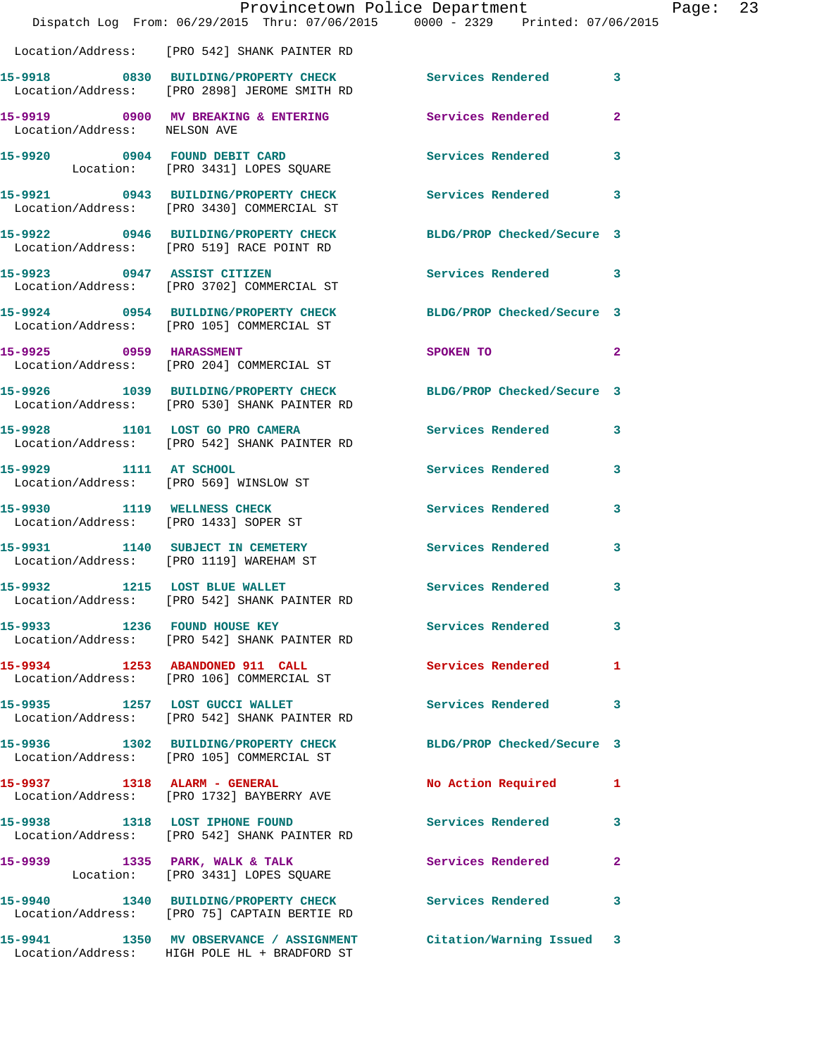|                                       |                                                                                 | Provincetown Police Department<br>Dispatch Log From: 06/29/2015 Thru: 07/06/2015 0000 - 2329 Printed: 07/06/2015                                                                                                              |                            | Page: 23 |  |
|---------------------------------------|---------------------------------------------------------------------------------|-------------------------------------------------------------------------------------------------------------------------------------------------------------------------------------------------------------------------------|----------------------------|----------|--|
|                                       | Location/Address: [PRO 542] SHANK PAINTER RD                                    |                                                                                                                                                                                                                               |                            |          |  |
|                                       |                                                                                 | 15-9918 0830 BUILDING/PROPERTY CHECK Services Rendered 3<br>Location/Address: [PRO 2898] JEROME SMITH RD                                                                                                                      |                            |          |  |
| Location/Address: NELSON AVE          |                                                                                 | 15-9919 0900 MV BREAKING & ENTERING Services Rendered                                                                                                                                                                         | $\mathbf{2}$               |          |  |
|                                       | 15-9920 0904 FOUND DEBIT CARD<br>Location: [PRO 3431] LOPES SQUARE              | Services Rendered 3                                                                                                                                                                                                           |                            |          |  |
|                                       | Location/Address: [PRO 3430] COMMERCIAL ST                                      | 15-9921 0943 BUILDING/PROPERTY CHECK Services Rendered 3                                                                                                                                                                      |                            |          |  |
|                                       | Location/Address: [PRO 519] RACE POINT RD                                       | 15-9922 0946 BUILDING/PROPERTY CHECK BLDG/PROP Checked/Secure 3                                                                                                                                                               |                            |          |  |
|                                       | 15-9923 0947 ASSIST CITIZEN<br>Location/Address: [PRO 3702] COMMERCIAL ST       | Services Rendered 3                                                                                                                                                                                                           |                            |          |  |
|                                       | Location/Address: [PRO 105] COMMERCIAL ST                                       | 15-9924 0954 BUILDING/PROPERTY CHECK BLDG/PROP Checked/Secure 3                                                                                                                                                               |                            |          |  |
|                                       | 15-9925 0959 HARASSMENT<br>Location/Address: [PRO 204] COMMERCIAL ST            | SPOKEN TO THE STATE OF THE STATE OF THE STATE OF THE STATE OF THE STATE OF THE STATE OF THE STATE OF THE STATE OF THE STATE OF THE STATE OF THE STATE OF THE STATE OF THE STATE OF THE STATE OF THE STATE OF THE STATE OF THE | $\overline{\phantom{0}}$ 2 |          |  |
|                                       | Location/Address: [PRO 530] SHANK PAINTER RD                                    | 15-9926 1039 BUILDING/PROPERTY CHECK BLDG/PROP Checked/Secure 3                                                                                                                                                               |                            |          |  |
|                                       | 15-9928 1101 LOST GO PRO CAMERA<br>Location/Address: [PRO 542] SHANK PAINTER RD | Services Rendered 3                                                                                                                                                                                                           |                            |          |  |
| 15-9929 1111 AT SCHOOL                | Location/Address: [PRO 569] WINSLOW ST                                          | Services Rendered 3                                                                                                                                                                                                           |                            |          |  |
| Location/Address: [PRO 1433] SOPER ST | 15-9930 1119 WELLNESS CHECK                                                     | Services Rendered                                                                                                                                                                                                             | 3                          |          |  |
|                                       | 15-9931 1140 SUBJECT IN CEMETERY<br>Location/Address: [PRO 1119] WAREHAM ST     | Services Rendered                                                                                                                                                                                                             | 3                          |          |  |
|                                       | 15-9932 1215 LOST BLUE WALLET<br>Location/Address: [PRO 542] SHANK PAINTER RD   | Services Rendered                                                                                                                                                                                                             | 3                          |          |  |
|                                       | 15-9933 1236 FOUND HOUSE KEY<br>Location/Address: [PRO 542] SHANK PAINTER RD    | Services Rendered 3                                                                                                                                                                                                           |                            |          |  |
|                                       | 15-9934 1253 ABANDONED 911 CALL<br>Location/Address: [PRO 106] COMMERCIAL ST    | Services Rendered 1                                                                                                                                                                                                           |                            |          |  |
|                                       | 15-9935 1257 LOST GUCCI WALLET<br>Location/Address: [PRO 542] SHANK PAINTER RD  | Services Rendered 3                                                                                                                                                                                                           |                            |          |  |
|                                       | Location/Address: [PRO 105] COMMERCIAL ST                                       | 15-9936 1302 BUILDING/PROPERTY CHECK BLDG/PROP Checked/Secure 3                                                                                                                                                               |                            |          |  |
|                                       | 15-9937 1318 ALARM - GENERAL<br>Location/Address: [PRO 1732] BAYBERRY AVE       | No Action Required 1                                                                                                                                                                                                          |                            |          |  |
|                                       | 15-9938 1318 LOST IPHONE FOUND<br>Location/Address: [PRO 542] SHANK PAINTER RD  | Services Rendered                                                                                                                                                                                                             | 3                          |          |  |
|                                       | Location: [PRO 3431] LOPES SQUARE                                               | 15-9939 1335 PARK, WALK & TALK 1993 Services Rendered                                                                                                                                                                         | $\mathbf{2}$               |          |  |
|                                       | Location/Address: [PRO 75] CAPTAIN BERTIE RD                                    | 15-9940 1340 BUILDING/PROPERTY CHECK Services Rendered 3                                                                                                                                                                      |                            |          |  |
|                                       | Location/Address: HIGH POLE HL + BRADFORD ST                                    | 15-9941 1350 MV OBSERVANCE / ASSIGNMENT Citation/Warning Issued 3                                                                                                                                                             |                            |          |  |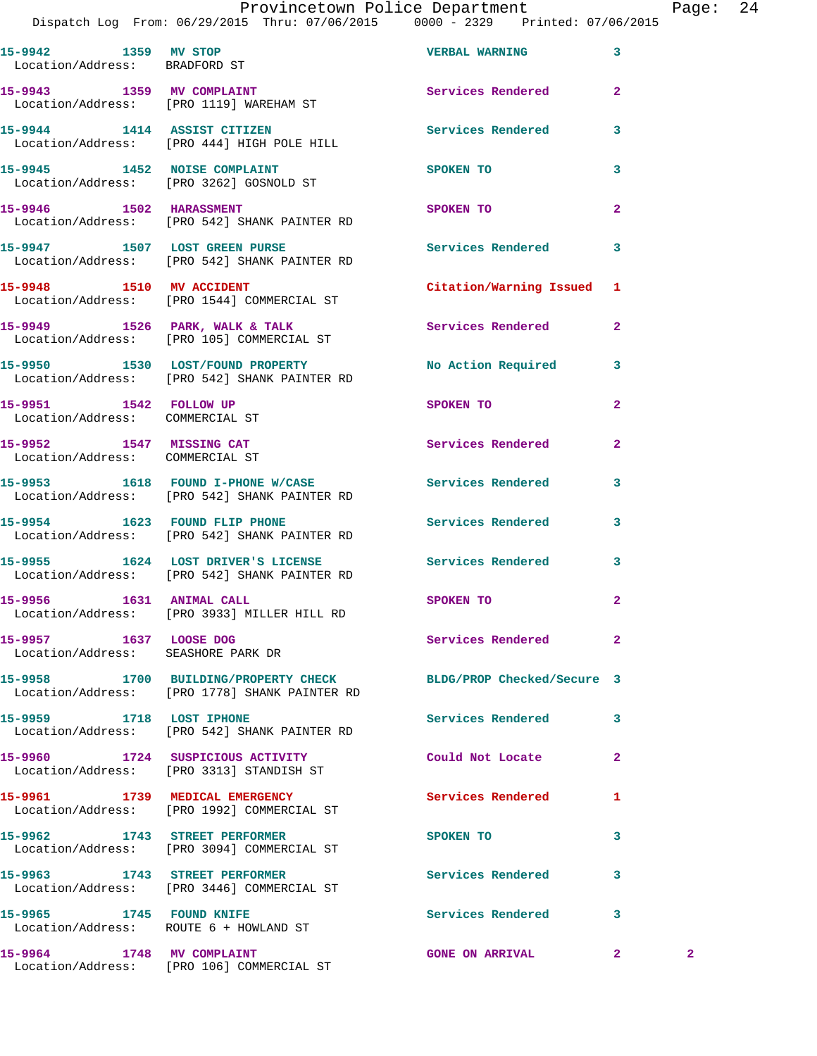|                                                              | Dispatch Log From: 06/29/2015 Thru: 07/06/2015 0000 - 2329 Printed: 07/06/2015                                   |                           |                              |  |
|--------------------------------------------------------------|------------------------------------------------------------------------------------------------------------------|---------------------------|------------------------------|--|
| 15-9942 1359 MV STOP<br>Location/Address: BRADFORD ST        |                                                                                                                  | <b>VERBAL WARNING</b>     | 3                            |  |
|                                                              | 15-9943 1359 MV COMPLAINT<br>Location/Address: [PRO 1119] WAREHAM ST                                             | Services Rendered         | $\overline{a}$               |  |
|                                                              | 15-9944 1414 ASSIST CITIZEN<br>Location/Address: [PRO 444] HIGH POLE HILL                                        | Services Rendered         | 3                            |  |
|                                                              | 15-9945 1452 NOISE COMPLAINT<br>Location/Address: [PRO 3262] GOSNOLD ST                                          | <b>SPOKEN TO</b>          | 3                            |  |
|                                                              | 15-9946 1502 HARASSMENT<br>Location/Address: [PRO 542] SHANK PAINTER RD                                          | SPOKEN TO                 | $\mathbf{2}$                 |  |
|                                                              | 15-9947 1507 LOST GREEN PURSE<br>Location/Address: [PRO 542] SHANK PAINTER RD                                    | Services Rendered         | 3                            |  |
|                                                              | 15-9948 1510 MV ACCIDENT<br>Location/Address: [PRO 1544] COMMERCIAL ST                                           | Citation/Warning Issued 1 |                              |  |
|                                                              | 15-9949 1526 PARK, WALK & TALK<br>Location/Address: [PRO 105] COMMERCIAL ST                                      | Services Rendered         | $\mathbf{2}$                 |  |
|                                                              | 15-9950 1530 LOST/FOUND PROPERTY<br>Location/Address: [PRO 542] SHANK PAINTER RD                                 | No Action Required        | 3                            |  |
| 15-9951 1542 FOLLOW UP<br>Location/Address: COMMERCIAL ST    |                                                                                                                  | SPOKEN TO                 | $\mathbf{2}$                 |  |
| 15-9952 1547 MISSING CAT<br>Location/Address: COMMERCIAL ST  |                                                                                                                  | Services Rendered         | $\overline{a}$               |  |
|                                                              | 15-9953 1618 FOUND I-PHONE W/CASE Services Rendered<br>Location/Address: [PRO 542] SHANK PAINTER RD              |                           | 3                            |  |
|                                                              | 15-9954 1623 FOUND FLIP PHONE<br>Location/Address: [PRO 542] SHANK PAINTER RD                                    | <b>Services Rendered</b>  | 3                            |  |
|                                                              | 15-9955 1624 LOST DRIVER'S LICENSE<br>Location/Address: [PRO 542] SHANK PAINTER RD                               | <b>Services Rendered</b>  | 3                            |  |
| 15-9956 1631 ANIMAL CALL                                     | Location/Address: [PRO 3933] MILLER HILL RD                                                                      | <b>SPOKEN TO</b>          | $\mathbf{2}$                 |  |
| 15-9957 1637 LOOSE DOG<br>Location/Address: SEASHORE PARK DR |                                                                                                                  | Services Rendered         | $\mathbf{2}$                 |  |
|                                                              | 15-9958 1700 BUILDING/PROPERTY CHECK BLDG/PROP Checked/Secure 3<br>Location/Address: [PRO 1778] SHANK PAINTER RD |                           |                              |  |
| 15-9959 1718 LOST IPHONE                                     | Location/Address: [PRO 542] SHANK PAINTER RD                                                                     | Services Rendered         | 3                            |  |
|                                                              | 15-9960 1724 SUSPICIOUS ACTIVITY<br>Location/Address: [PRO 3313] STANDISH ST                                     | Could Not Locate          | 2                            |  |
|                                                              | 15-9961 1739 MEDICAL EMERGENCY<br>Location/Address: [PRO 1992] COMMERCIAL ST                                     | <b>Services Rendered</b>  | 1                            |  |
|                                                              | 15-9962 1743 STREET PERFORMER<br>Location/Address: [PRO 3094] COMMERCIAL ST                                      | SPOKEN TO                 | 3                            |  |
|                                                              | 15-9963 1743 STREET PERFORMER<br>Location/Address: [PRO 3446] COMMERCIAL ST                                      | <b>Services Rendered</b>  | 3                            |  |
| 15-9965 1745 FOUND KNIFE                                     | Location/Address: ROUTE 6 + HOWLAND ST                                                                           | Services Rendered         | 3                            |  |
|                                                              | 15-9964 1748 MV COMPLAINT<br>Location/Address: [PRO 106] COMMERCIAL ST                                           | <b>GONE ON ARRIVAL</b>    | $\mathbf{2}$<br>$\mathbf{2}$ |  |
|                                                              |                                                                                                                  |                           |                              |  |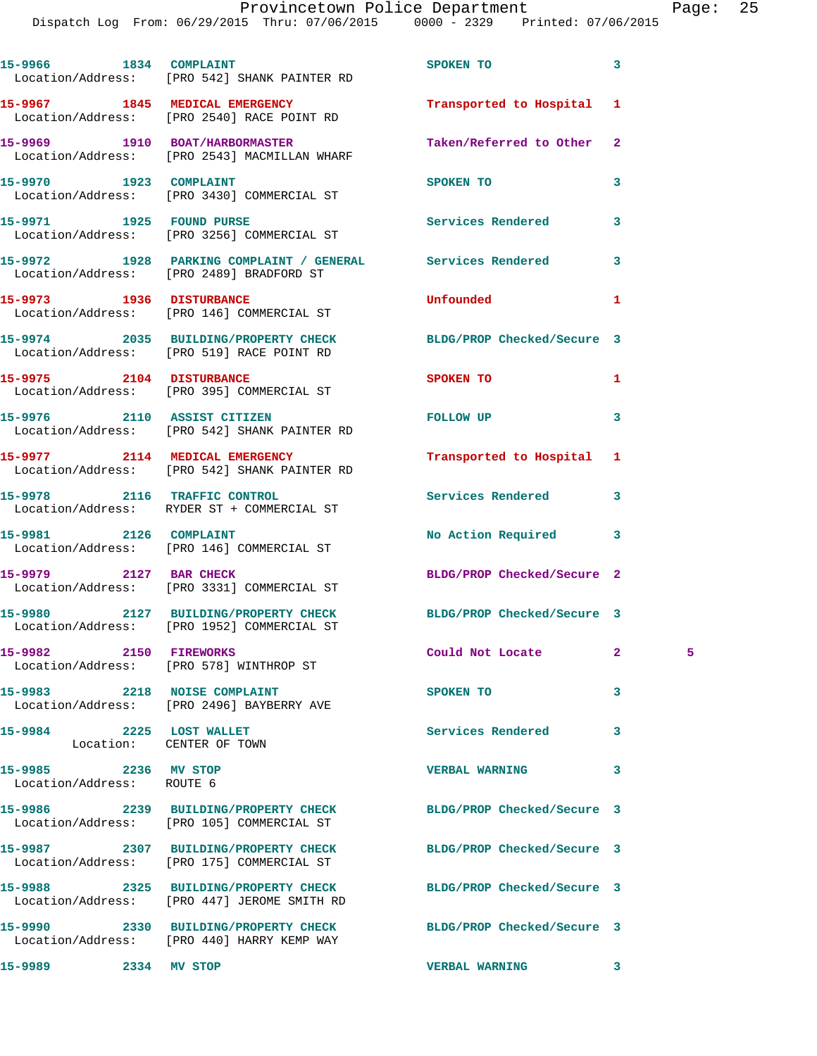|                                                   | 15-9966 1834 COMPLAINT<br>Location/Address: [PRO 542] SHANK PAINTER RD                                        | SPOKEN TO                  | 3            |    |
|---------------------------------------------------|---------------------------------------------------------------------------------------------------------------|----------------------------|--------------|----|
|                                                   | 15-9967 1845 MEDICAL EMERGENCY<br>Location/Address: [PRO 2540] RACE POINT RD                                  | Transported to Hospital    | 1            |    |
|                                                   | 15-9969 1910 BOAT/HARBORMASTER<br>Location/Address: [PRO 2543] MACMILLAN WHARF                                | Taken/Referred to Other    | $\mathbf{2}$ |    |
| 15-9970 1923 COMPLAINT                            | Location/Address: [PRO 3430] COMMERCIAL ST                                                                    | SPOKEN TO                  | 3            |    |
|                                                   | 15-9971 1925 FOUND PURSE<br>Location/Address: [PRO 3256] COMMERCIAL ST                                        | Services Rendered          | 3            |    |
|                                                   | 15-9972 1928 PARKING COMPLAINT / GENERAL Services Rendered<br>Location/Address: [PRO 2489] BRADFORD ST        |                            | 3            |    |
|                                                   | 15-9973 1936 DISTURBANCE<br>Location/Address: [PRO 146] COMMERCIAL ST                                         | Unfounded                  | 1            |    |
|                                                   | 15-9974 2035 BUILDING/PROPERTY CHECK<br>Location/Address: [PRO 519] RACE POINT RD                             | BLDG/PROP Checked/Secure 3 |              |    |
|                                                   | 15-9975 2104 DISTURBANCE<br>Location/Address: [PRO 395] COMMERCIAL ST                                         | SPOKEN TO                  | 1            |    |
| 15-9976 2110 ASSIST CITIZEN                       | Location/Address: [PRO 542] SHANK PAINTER RD                                                                  | <b>FOLLOW UP</b>           | 3            |    |
|                                                   | 15-9977 2114 MEDICAL EMERGENCY<br>Location/Address: [PRO 542] SHANK PAINTER RD                                | Transported to Hospital    | 1            |    |
|                                                   | 15-9978 2116 TRAFFIC CONTROL<br>Location/Address: RYDER ST + COMMERCIAL ST                                    | Services Rendered          | 3            |    |
| 15-9981 2126 COMPLAINT                            | Location/Address: [PRO 146] COMMERCIAL ST                                                                     | No Action Required         | 3            |    |
|                                                   | 15-9979 2127 BAR CHECK<br>Location/Address: [PRO 3331] COMMERCIAL ST                                          | BLDG/PROP Checked/Secure 2 |              |    |
|                                                   | 15-9980 2127 BUILDING/PROPERTY CHECK<br>Location/Address: [PRO 1952] COMMERCIAL ST                            | BLDG/PROP Checked/Secure 3 |              |    |
| 15-9982 2150 FIREWORKS                            | Location/Address: [PRO 578] WINTHROP ST                                                                       | Could Not Locate           | $\mathbf{2}$ | 5. |
|                                                   | 15-9983 2218 NOISE COMPLAINT<br>Location/Address: [PRO 2496] BAYBERRY AVE                                     | SPOKEN TO                  | 3            |    |
| 15-9984 2225 LOST WALLET                          | Location: CENTER OF TOWN                                                                                      | <b>Services Rendered</b>   | 3            |    |
| 15-9985 2236 MV STOP<br>Location/Address: ROUTE 6 |                                                                                                               | <b>VERBAL WARNING</b>      | 3            |    |
|                                                   | 15-9986 2239 BUILDING/PROPERTY CHECK<br>Location/Address: [PRO 105] COMMERCIAL ST                             | BLDG/PROP Checked/Secure 3 |              |    |
|                                                   | 15-9987 2307 BUILDING/PROPERTY CHECK<br>Location/Address: [PRO 175] COMMERCIAL ST                             | BLDG/PROP Checked/Secure 3 |              |    |
|                                                   | 15-9988 2325 BUILDING/PROPERTY CHECK<br>Location/Address: [PRO 447] JEROME SMITH RD                           | BLDG/PROP Checked/Secure 3 |              |    |
|                                                   | 15-9990 2330 BUILDING/PROPERTY CHECK BLDG/PROP Checked/Secure 3<br>Location/Address: [PRO 440] HARRY KEMP WAY |                            |              |    |
| 15-9989 2334 MV STOP                              |                                                                                                               | <b>VERBAL WARNING</b>      | 3            |    |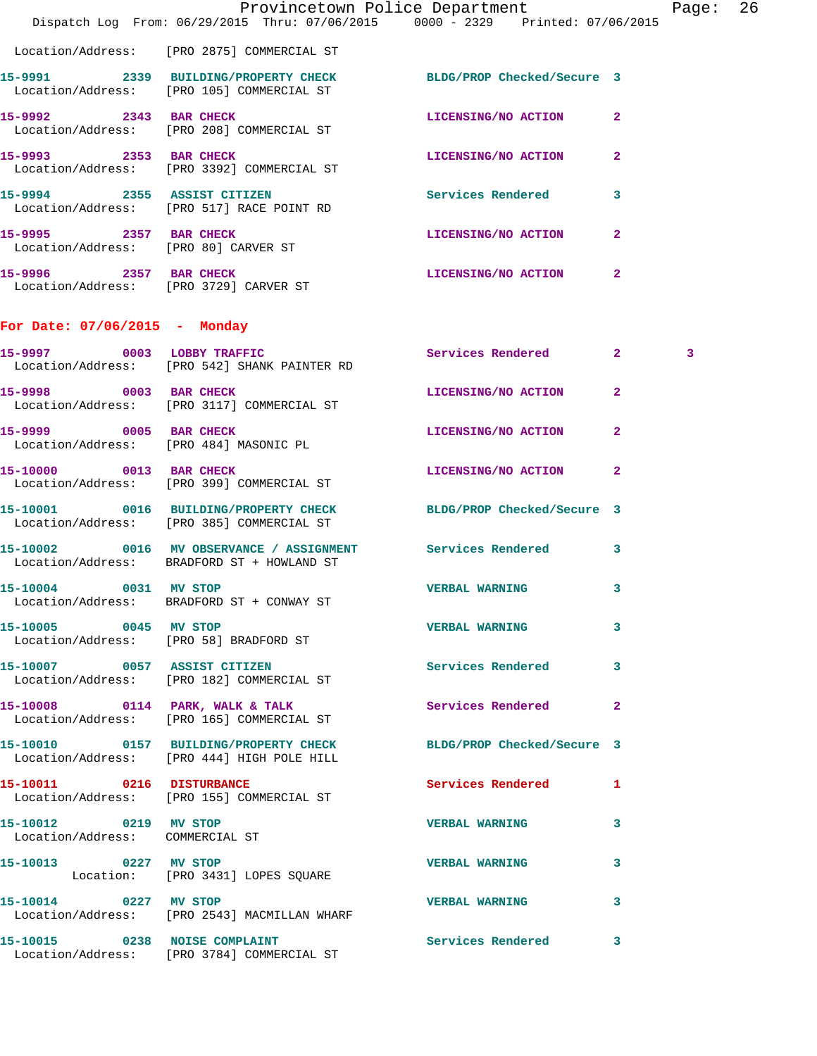|                                                                  | Dispatch Log From: 06/29/2015 Thru: 07/06/2015 0000 - 2329 Printed: 07/06/2015                                 | Provincetown Police Department |                | Page: 26 |  |
|------------------------------------------------------------------|----------------------------------------------------------------------------------------------------------------|--------------------------------|----------------|----------|--|
|                                                                  | Location/Address: [PRO 2875] COMMERCIAL ST                                                                     |                                |                |          |  |
|                                                                  | 15-9991 2339 BUILDING/PROPERTY CHECK BLDG/PROP Checked/Secure 3<br>Location/Address: [PRO 105] COMMERCIAL ST   |                                |                |          |  |
|                                                                  | 15-9992 2343 BAR CHECK<br>Location/Address: [PRO 208] COMMERCIAL ST                                            | LICENSING/NO ACTION 2          |                |          |  |
| 15-9993 2353 BAR CHECK                                           | Location/Address: [PRO 3392] COMMERCIAL ST                                                                     | LICENSING/NO ACTION 2          |                |          |  |
|                                                                  | 15-9994 2355 ASSIST CITIZEN<br>Location/Address: [PRO 517] RACE POINT RD                                       | Services Rendered              | 3              |          |  |
| 15-9995 2357 BAR CHECK<br>Location/Address: [PRO 80] CARVER ST   |                                                                                                                | LICENSING/NO ACTION            | $\mathbf{2}$   |          |  |
| 15-9996 2357 BAR CHECK<br>Location/Address: [PRO 3729] CARVER ST |                                                                                                                | LICENSING/NO ACTION 2          |                |          |  |
| For Date: 07/06/2015 - Monday                                    |                                                                                                                |                                |                |          |  |
|                                                                  | 15-9997 0003 LOBBY TRAFFIC<br>Location/Address: [PRO 542] SHANK PAINTER RD                                     | Services Rendered 2            |                | 3        |  |
| 15-9998 0003 BAR CHECK                                           | Location/Address: [PRO 3117] COMMERCIAL ST                                                                     | LICENSING/NO ACTION            | $\mathbf{2}$   |          |  |
| 15-9999 0005 BAR CHECK                                           | Location/Address: [PRO 484] MASONIC PL                                                                         | LICENSING/NO ACTION            | $\overline{2}$ |          |  |
|                                                                  | 15-10000 0013 BAR CHECK<br>Location/Address: [PRO 399] COMMERCIAL ST                                           | LICENSING/NO ACTION            | $\mathbf{2}$   |          |  |
|                                                                  | 15-10001 0016 BUILDING/PROPERTY CHECK BLDG/PROP Checked/Secure 3<br>Location/Address: [PRO 385] COMMERCIAL ST  |                                |                |          |  |
|                                                                  | 15-10002 0016 MV OBSERVANCE / ASSIGNMENT Services Rendered 3<br>Location/Address: BRADFORD ST + HOWLAND ST     |                                |                |          |  |
| 15-10004 0031 MV STOP                                            | Location/Address: BRADFORD ST + CONWAY ST                                                                      | <b>VERBAL WARNING</b> 3        |                |          |  |
| 15-10005 0045 MV STOP                                            | Location/Address: [PRO 58] BRADFORD ST                                                                         | VERBAL WARNING 3               |                |          |  |
|                                                                  | 15-10007 0057 ASSIST CITIZEN<br>Location/Address: [PRO 182] COMMERCIAL ST                                      | Services Rendered 3            |                |          |  |
|                                                                  | 15-10008 0114 PARK, WALK & TALK Services Rendered 2<br>Location/Address: [PRO 165] COMMERCIAL ST               |                                |                |          |  |
|                                                                  | 15-10010 0157 BUILDING/PROPERTY CHECK BLDG/PROP Checked/Secure 3<br>Location/Address: [PRO 444] HIGH POLE HILL |                                |                |          |  |
|                                                                  | 15-10011 0216 DISTURBANCE<br>Location/Address: [PRO 155] COMMERCIAL ST                                         | Services Rendered 1            |                |          |  |
| 15-10012 0219 MV STOP                                            | Location/Address: COMMERCIAL ST                                                                                | VERBAL WARNING 3               |                |          |  |
|                                                                  | 15-10013 0227 MV STOP<br>Location: [PRO 3431] LOPES SQUARE                                                     | <b>VERBAL WARNING</b>          | 3              |          |  |
| 15-10014 0227 MV STOP                                            | Location/Address: [PRO 2543] MACMILLAN WHARF                                                                   | VERBAL WARNING 3               |                |          |  |
|                                                                  | 15-10015 0238 NOISE COMPLAINT<br>Location/Address: [PRO 3784] COMMERCIAL ST                                    | Services Rendered 3            |                |          |  |